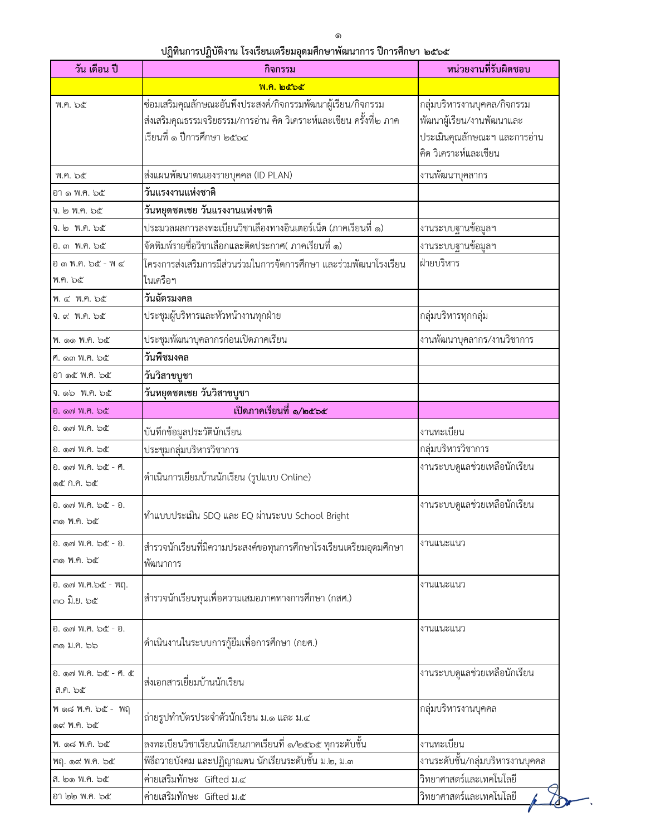## ้ปฏิทินการปฏิบัติงาน โรงเรียนเตรียมอุดมศึกษาพัฒนาการ ปีการศึกษา ๒๕๖๕

| วัน เดือน ปี                                 | กิจกรรม                                                                                                                                                           | หน่วยงานที่รับผิดชอบ                                                                                              |
|----------------------------------------------|-------------------------------------------------------------------------------------------------------------------------------------------------------------------|-------------------------------------------------------------------------------------------------------------------|
|                                              | พ.ค. ๒๕๖๕                                                                                                                                                         |                                                                                                                   |
| พ.ค. ๖๕                                      | ซ่อมเสริมคุณลักษณะอันพึงประสงค์/กิจกรรมพัฒนาผู้เรียน/กิจกรรม<br>ส่งเสริมคุณธรรมจริยธรรม/การอ่าน คิด วิเคราะห์และเขียน ครั้งที่๒ ภาค<br>เรียนที่ ๑ ปีการศึกษา ๒๕๖๔ | กลุ่มบริหารงานบุคคล/กิจกรรม<br>พัฒนาผู้เรียน/งานพัฒนาและ<br>ประเมินคุณลักษณะฯ และการอ่าน<br>คิด วิเคราะห์และเขียน |
| พ.ค. ๖๕                                      | ส่งแผนพัฒนาตนเองรายบุคคล (ID PLAN)                                                                                                                                | งานพัฒนาบุคลากร                                                                                                   |
| อาดพ.ค. ๖๕                                   | วันแรงงานแห่งชาติ                                                                                                                                                 |                                                                                                                   |
| จ. ๒ พ.ค. ๖๕                                 | วันหยุดชดเชย วันแรงงานแห่งชาติ                                                                                                                                    |                                                                                                                   |
| จ. ๒ พ.ค. ๖๕                                 | ประมวลผลการลงทะเบียนวิชาเลืองทางอินเตอร์เน็ต (ภาคเรียนที่ ๑)                                                                                                      | งานระบบฐานข้อมูลฯ                                                                                                 |
| อ. ๓ พ.ค. ๖๕                                 | จัดพิมพ์รายชื่อวิชาเลือกและติดประกาศ( ภาคเรียนที่ ๑)                                                                                                              | งานระบบฐานข้อมูลฯ                                                                                                 |
| อ ๓ พ.ค. ๖๕ - พ ๔<br>พ.ค. ๖๕                 | โครงการส่งเสริมการมีส่วนร่วมในการจัดการศึกษา และร่วมพัฒนาโรงเรียน<br>ในเครือฯ                                                                                     | ฝ่ายบริหาร                                                                                                        |
| พ. ๔ พ.ค. ๖๕                                 | วันฉัตรมงคล                                                                                                                                                       |                                                                                                                   |
| จ. ๙ พ.ค. ๖๕                                 | ประชุมผู้บริหารและหัวหน้างานทุกฝ่าย                                                                                                                               | กลุ่มบริหารทุกกลุ่ม                                                                                               |
| พ. ๑๑ พ.ค. ๖๕                                | ประชุมพัฒนาบุคลากรก่อนเปิดภาคเรียน                                                                                                                                | งานพัฒนาบุคลากร/งานวิชาการ                                                                                        |
| ศ. ดต พ.ค. ๖๕                                | วันพืชมงคล                                                                                                                                                        |                                                                                                                   |
| อา ๑๕ พ.ค. ๖๕                                | วันวิสาขบูชา                                                                                                                                                      |                                                                                                                   |
| จ. ๑๖ พ.ค. ๖๕                                | วันหยุดชดเชย วันวิสาขบูชา                                                                                                                                         |                                                                                                                   |
| อิ. ดู๗ พ.ค. ๖๕                              | เปิดภาคเรียนที่ ๑/๒๕๖๕                                                                                                                                            |                                                                                                                   |
| ี อิ. ดฺ๗ พ.ค. ๖๕                            | บันทึกข้อมูลประวัตินักเรียน                                                                                                                                       | งานทะเบียน                                                                                                        |
| อ. ด๗ พ.ค. ๖๕                                | ประชุมกลุ่มบริหารวิชาการ                                                                                                                                          | กลุ่มบริหารวิชาการ                                                                                                |
| ยิ. ด๗ พ.ค. ๖๕ - ฅ.<br>ලඳී በ.୩. ఏඳී          | ดำเนินการเยียมบ้านนักเรียน (รูปแบบ Online)                                                                                                                        | งานระบบดูแลช่วยเหลือนักเรียน                                                                                      |
| อ. ๑๗ พ.ค. ๖๕ - อ.<br><b>m</b> 10.  කිරී     | ทำแบบประเมิน SDQ และ EQ ผ่านระบบ School Bright                                                                                                                    | งานระบบดูแลช่วยเหลือนักเรียน                                                                                      |
| ยิ. ดู๗ พ.ค. ๖๕ - ยิ.<br><b>ണ</b> 10. කිරී ත | สำรวจนักเรียนที่มีความประสงค์ขอทุนการศึกษาโรงเรียนเตรียมอุดมศึกษา<br>พัฒนาการ                                                                                     | งานแนะแนว                                                                                                         |
| อ. ด๗ พ.ค.๖๕ - พฤ.<br>၈୦ ນີ້.ຍ. ៦๕           | ่สำรวจนักเรียนทุนเพื่อความเสมอภาคทางการศึกษา (กสศ.)                                                                                                               | งานแนะแนว                                                                                                         |
| อ. ด๗ พ.ค. ๖๕ - อ.<br><b>m</b> o ม.ค. ๖๖     | ดำเนินงานในระบบการกู้ยืมเพื่อการศึกษา (กยศ.)                                                                                                                      | งานแนะแนว                                                                                                         |
| อิ. ดู๗ พ.ค. ๖๕ - ศ. ๕<br>ส.ค. ๖๕            | ส่งเอกสารเยี่ยมบ้านนักเรียน                                                                                                                                       | งานระบบดูแลช่วยเหลือนักเรียน                                                                                      |
| พ ด๘ พ.ค. ๖๕ - พฤ<br>ด๙ พ.ค. ๖๕              | ถ่ายรูปทำบัตรประจำตัวนักเรียน ม.๑ และ ม.๔                                                                                                                         | กลุ่มบริหารงานบุคคล                                                                                               |
| พ. ด๘ พ.ค. ๖๕                                | ลงทะเบียนวิชาเรียนนักเรียนภาคเรียนที่ ๑/๒๕๖๕ ทุกระดับชั้น                                                                                                         | งานทะเบียน                                                                                                        |
| พฤ. ๑๙ พ.ค. ๖๕                               | พิธีถวายบังคม และปฏิญาณตน นักเรียนระดับชั้น ม.๒, ม.๓                                                                                                              | งานระดับชั้น/กลุ่มบริหารงานบุคคล                                                                                  |
| ส. ๒๑ พ.ค. ๖๕                                | ค่ายเสริมทักษะ Gifted ม.๔                                                                                                                                         | วิทยาศาสตร์และเทคโนโลยี                                                                                           |
| อา ๒๒ พ.ค. ๖๕                                | ค่ายเสริมทักษะ Gifted ม.๕                                                                                                                                         | วิทยาศาสตร์และเทคโนโลยี                                                                                           |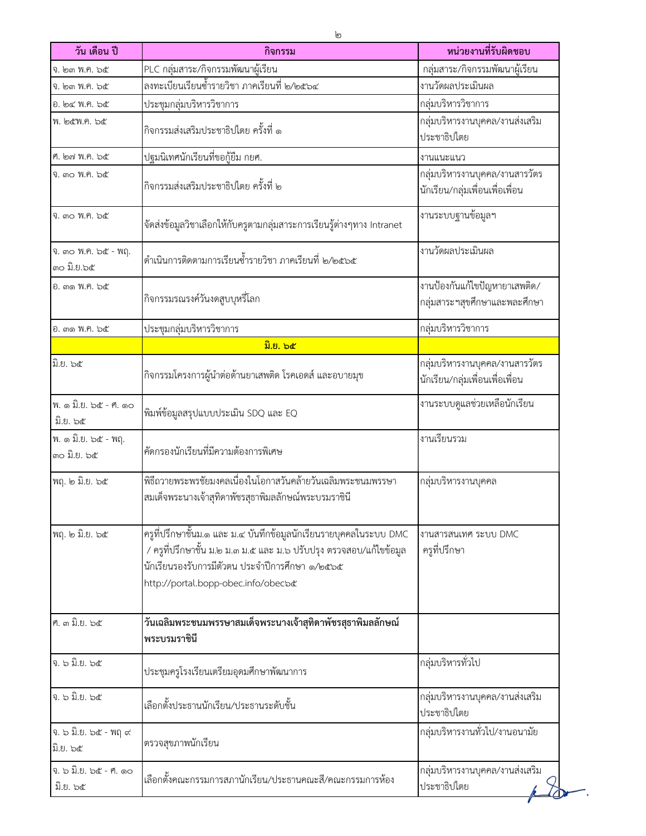| วัน เดือน ปี                                     | กิจกรรม                                                                                                                                                                                                                             | หน่วยงานที่รับผิดชอบ                                              |
|--------------------------------------------------|-------------------------------------------------------------------------------------------------------------------------------------------------------------------------------------------------------------------------------------|-------------------------------------------------------------------|
| จ. ๒๓ พ.ค. ๖๕                                    | PLC กลุ่มสาระ/กิจกรรมพัฒนาผู้เรียน                                                                                                                                                                                                  | กลุ่มสาระ/กิจกรรมพัฒนาผู้เรียน                                    |
| จ. ๒๓ พ.ค. ๖๕                                    | ลงทะเบียนเรียนช้ำรายวิชา ภาคเรียนที่ ๒/๒๕๖๔                                                                                                                                                                                         | งานวัดผลประเมินผล                                                 |
| อ. ๒๔ พ.ค. ๖๕                                    | ประชุมกลุ่มบริหารวิชาการ                                                                                                                                                                                                            | กลุ่มบริหารวิชาการ                                                |
| พ. ๒๕พ.ค. ๖๕                                     | กิจกรรมส่งเสริมประชาธิปไตย ครั้งที่ ๑                                                                                                                                                                                               | กลุ่มบริหารงานบุคคล/งานส่งเสริม<br>ประชาธิปไตย                    |
| ศ. ๒๗ พ.ค. ๖๕                                    | ปฐมนิเทศนักเรียนที่ขอกู้ยืม กยศ.                                                                                                                                                                                                    | งานแนะแนว                                                         |
| จิ. ๓๐ พ.ศ. ๖๕                                   | กิจกรรมส่งเสริมประชาธิปไตย ครั้งที่ ๒                                                                                                                                                                                               | กลุ่มบริหารงานบุคคล/งานสารวัตร<br>นักเรียน/กลุ่มเพื่อนเพื่อเพื่อน |
| จิ. ๓๐ พ.ค. ๖๕                                   | จัดส่งข้อมูลวิชาเลือกให้กับครูตามกลุ่มสาระการเรียนรู้ต่างๆทาง Intranet                                                                                                                                                              | งานระบบฐานข้อมูลฯ                                                 |
| จิ. ๓๐ พ.ค. ๖๕ - พฤ.<br><sub></sub> ຄວ ນີ້.ຢ.່ວ໕ | ่ ดำเนินการติดตามการเรียนซ้ำรายวิชา ภาคเรียนที่ ๒/๒๕๖๕                                                                                                                                                                              | งานวัดผลประเมินผล                                                 |
| อ. ๓๑ พ.ค. ๖๕                                    | กิจกรรมรณรงค์วันงดสูบบุหรี่โลก                                                                                                                                                                                                      | งานป้องกันแก้ไขปัญหายาเสพติด/<br>กลุ่มสาระฯสุขศึกษาและพละศึกษา    |
| อ. ๓๑ พ.ค. ๖๕                                    | ประชุมกลุ่มบริหารวิชาการ                                                                                                                                                                                                            | กลุ่มบริหารวิชาการ                                                |
|                                                  | มิ.ย. ๖๕                                                                                                                                                                                                                            |                                                                   |
| มิ.ย. ๖๕                                         | กิจกรรมโครงการผู้นำต่อต้านยาเสพติด โรคเอดส์ และอบายมุข                                                                                                                                                                              | กลุ่มบริหารงานบุคคล/งานสารวัตร<br>นักเรียน/กลุ่มเพื่อนเพื่อเพื่อน |
| พ. ด มิ.ย. ๖๕ - ศ. ด๐<br>มิ.ย. ๖๕                | พิมพ์ข้อมูลสรุปแบบประเมิน SDQ และ EQ                                                                                                                                                                                                | งานระบบดูแลช่วยเหลือนักเรียน                                      |
| พ. ๑ มิ.ย. ๖๕ - พฤ.<br><sub></sub> ຄວ ນີ້.ຢ. ວ໕  | คัดกรองนักเรียนที่มีความต้องการพิเศษ                                                                                                                                                                                                | งานเรียนรวม                                                       |
| พฤ. ๒ มิ.ย. ๖๕                                   | พิธีถวายพระพรชัยมงคลเนื่องในโอกาสวันคล้ายวันเฉลิมพระชนมพรรษา<br>สมเด็จพระนางเจ้าสุทิดาพัชรสุธาพิมลลักษณ์พระบรมราชินี                                                                                                                | กลุ่มบริหารงานบุคคล                                               |
| พฤ. ๒ มิ.ย. ๖๕                                   | ครูที่ปรึกษาชั้นม.๑ และ ม.๔ บันทึกข้อมูลนักเรียนรายบุคคลในระบบ DMC<br>/ ครูที่ปรึกษาชั้น ม.๒ ม.๓ ม.๕ และ ม.๖ ปรับปรุง ตรวจสอบ/แก้ไขข้อมูล<br>นักเรียนรองรับการมีตัวตน ประจำปีการศึกษา ๑/๒๕๖๕<br>http://portal.bopp-obec.info/obecb& | งานสารสนเทศ ระบบ DMC<br>ครูที่ปรึกษา                              |
| ศ. ๓ มิ.ย. ๖๕                                    | วันเฉลิมพระชนมพรรษาสมเด็จพระนางเจ้าสุทิดาพัชรสุธาพิมลลักษณ์<br>พระบรมราชินี                                                                                                                                                         |                                                                   |
| จ. ๖ มิ.ย. ๖๕                                    | ประชุมครูโรงเรียนเตรียมอุดมศึกษาพัฒนาการ                                                                                                                                                                                            | กลุ่มบริหารทั่วไป                                                 |
| จ. ๖ มิ.ย. ๖๕                                    | เลือกตั้งประธานนักเรียน/ประธานระดับชั้น                                                                                                                                                                                             | กลุ่มบริหารงานบุคคล/งานส่งเสริม<br>ประชาธิปไตย                    |
| จ. ๖ มิ.ย. ๖๕ - พฤ ๙<br>มิ.ย. ๖๕                 | ตรวจสุขภาพนักเรียน                                                                                                                                                                                                                  | กลุ่มบริหารงานทั่วไป/งานอนามัย                                    |
| จ. ๖ มิ.ย. ๖๕ - ศ. ๑๐<br>มิ.ย. ๖๕                | เลือกตั้งคณะกรรมการสภานักเรียน/ประธานคณะสี/คณะกรรมการห้อง                                                                                                                                                                           | กลุ่มบริหารงานบุคคล/งานส่งเสริม<br>ประชาธิปไตย                    |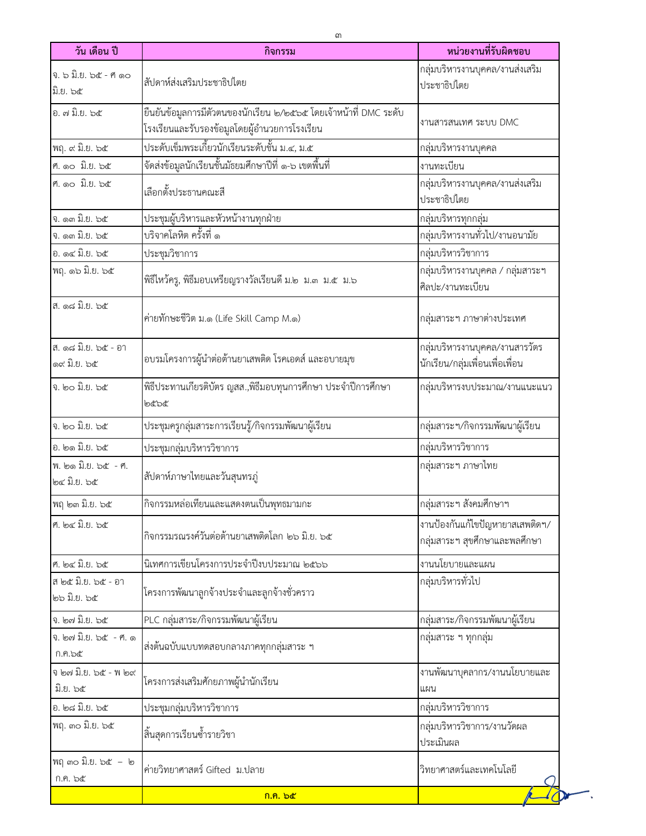| วัน เดือน ปี                       | กิจกรรม                                                                                                            | หน่วยงานที่รับผิดชอบ                                              |
|------------------------------------|--------------------------------------------------------------------------------------------------------------------|-------------------------------------------------------------------|
| จ. ๖ มิ.ย. ๖๕ - ศ ๑๐<br>มิ.ย. ๖๕   | สัปดาห์ส่งเสริมประชาธิปไตย                                                                                         | กลุ่มบริหารงานบุคคล/งานส่งเสริม<br>ประชาธิปไตย                    |
| อ. ๗ มิ.ย. ๖๕                      | ยืนยันข้อมูลการมีตัวตนของนักเรียน ๒/๒๕๖๕ โดยเจ้าหน้าที่ DMC ระดับ<br>โรงเรียนและรับรองข้อมูลโดยผู้อำนวยการโรงเรียน | งานสารสนเทศ ระบบ DMC                                              |
| พฤ. ๙ มิ.ย. ๖๕                     | ประดับเข็มพระเกี้ยวนักเรียนระดับชั้น ม.๔, ม.๕                                                                      | กลุ่มบริหารงานบุคคล                                               |
| ศ. ดอ มิ.ย. ๖๕                     | จัดส่งข้อมูลนักเรียนชั้นมัธยมศึกษาปีที่ ๑-๖ เขตพื้นที่                                                             | งานทะเบียน                                                        |
| ศ. ดอ มิ.ย. ๖๕                     | เลือกตั้งประธานคณะสี                                                                                               | กลุ่มบริหารงานบุคคล/งานส่งเสริม<br>ประชาธิปไตย                    |
| งิ. ดูต มิ.ย. ๖๕                   | ประชุมผู้บริหารและหัวหน้างานทุกฝ่าย                                                                                | กลุ่มบริหารทุกกลุ่ม                                               |
| จ. ดูต มิ.ย. ๖๕                    | <u>ับริจาคโลหิต ครั้งที่ ๑</u>                                                                                     | กลุ่มบริหารงานทั่วไป/งานอนามัย                                    |
| อ. ด๔ มิ.ย. ๖๕                     | ประชุมวิชาการ                                                                                                      | กลุ่มบริหารวิชาการ                                                |
| พฤ. ๑๖ มิ.ย. ๖๕                    | พิธีไหว้ครู, พิธีมอบเหรียญรางวัลเรียนดี ม.๒ ม.๓ ม.๕ ม.๖                                                            | กลุ่มบริหารงานบุคคล / กลุ่มสาระฯ<br>ศิลปะ/งานทะเบียน              |
| ส. ด๘ มิ.ย. ๖๕                     | ค่ายทักษะชีวิต ม.๑ (Life Skill Camp M.๑)                                                                           | กลุ่มสาระฯ ภาษาต่างประเทศ                                         |
| ส. ด๘ มิ.ย. ๖๕ - อา<br>ด๙ มิ.ย. ๖๕ | อบรมโครงการผู้นำต่อต้านยาเสพติด โรคเอดส์ และอบายมุข                                                                | กลุ่มบริหารงานบุคคล/งานสารวัตร<br>นักเรียน/กลุ่มเพื่อนเพื่อเพื่อน |
| ง. ๒๐ มิ.ย. ๖๕                     | พิธีประทานเกียรติบัตร ญสส.,พิธีมอบทุนการศึกษา ประจำปีการศึกษา<br>అడిపిడ                                            | กลุ่มบริหารงบประมาณ/งานแนะแนว                                     |
| จ. ๒๐ มิ.ย. ๖๕                     | ประชุมครูกลุ่มสาระการเรียนรู้/กิจกรรมพัฒนาผู้เรียน                                                                 | กลุ่มสาระฯ/กิจกรรมพัฒนาผู้เรียน                                   |
| อ. ๒๑ มิ.ย. ๖๕                     | ประชุมกลุ่มบริหารวิชาการ                                                                                           | กลุ่มบริหารวิชาการ                                                |
| พ. ๒๑ มิ.ย. ๖๕ - ฅ.<br>๒๔ มิ.ย. ๖๕ | สัปดาห์ภาษาไทยและวันสุนทรภู่                                                                                       | กลุ่มสาระฯ ภาษาไทย                                                |
| พฤ ๒๓ มิ.ย. ๖๕                     | กิจกรรมหล่อเทียนและแสดงตนเป็นพุทธมามกะ                                                                             | กลุ่มสาระฯ สังคมศึกษาฯ                                            |
| ศ. ๒๔ มิ.ย. ๖๕                     | ่ กิจกรรมรณรงค์วันต่อต้านยาเสพติดโลก ๒๖ มิ.ย. ๖๕                                                                   | งานป้องกันแก้ไขปัญหายาสเสพติดฯ/<br>กลุ่มสาระฯ สุขศึกษาและพลศึกษา  |
| ศ. ๒๔ มิ.ย. ๖๕                     | นิเทศการเขียนโครงการประจำปีงบประมาณ ๒๕๖๖                                                                           | งานนโยบายและแผน                                                   |
| ส ๒๕ มิ.ย. ๖๕ - อา<br>๒๖ มิ.ย. ๖๕  | โครงการพัฒนาลูกจ้างประจำและลูกจ้างชั่วคราว                                                                         | กลุ่มบริหารทั่วไป                                                 |
| จ. ๒๗ มิ.ย. ๖๕                     | PLC กลุ่มสาระ/กิจกรรมพัฒนาผู้เรียน                                                                                 | กลุ่มสาระ/กิจกรรมพัฒนาผู้เรียน                                    |
| จ. ๒๗ มิ.ย. ๖๕ - ศ. ๑<br>ก.ค.๖๕    | ส่งต้นฉบับแบบทดสอบกลางภาคทุกกลุ่มสาระ ฯ                                                                            | กลุ่มสาระ ฯ ทุกกลุ่ม                                              |
| จ ๒๗ มิ.ย. ๖๕ - พ ๒๙<br>มิ.ย. ๖๕   | โครงการส่งเสริมศักยภาพผู้นำนักเรียน                                                                                | งานพัฒนาบุคลากร/งานนโยบายและ<br>แผน                               |
| อ. ๒๘ มิ.ย. ๖๕                     | ประชุมกลุ่มบริหารวิชาการ                                                                                           | กลุ่มบริหารวิชาการ                                                |
| พฤ. ๓๐ มิ.ย. ๖๕                    | สิ้นสุดการเรียนซ้ำรายวิชา                                                                                          | กลุ่มบริหารวิชาการ/งานวัดผล<br>ประเมินผล                          |
| $WQ$ ๓๐ มิ๊.ย. ๖๕ – ๒<br>ก.ค. ๖๕   | ค่ายวิทยาศาสตร์ Gifted ม.ปลาย                                                                                      | วิทยาศาสตร์และเทคโนโลยี                                           |
|                                    | <u>ಗಿ.ಗಿ. ៦๕</u>                                                                                                   |                                                                   |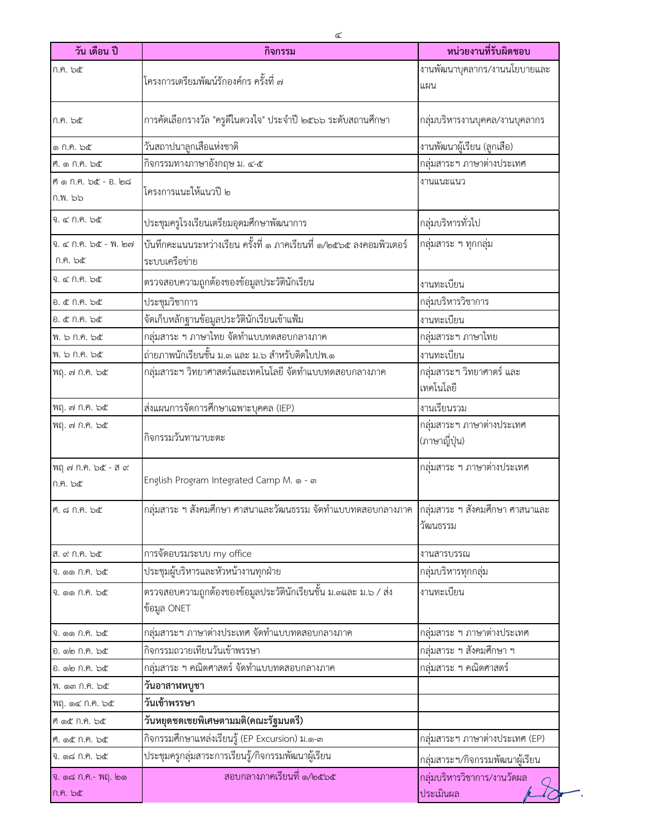| วัน เดือน ปี                   | กิจกรรม                                                                                        | หน่วยงานที่รับผิดชอบ                       |
|--------------------------------|------------------------------------------------------------------------------------------------|--------------------------------------------|
| ก.ค. ๖๕                        |                                                                                                | งานพัฒนาบุคลากร/งานนโยบายและ               |
|                                | โครงการเตรียมพัฒน์รักองค์กร ครั้งที่ ๗                                                         | แผน                                        |
| ก.ค. ๖๕                        | การคัดเลือกรางวัล "ครูดีในดวงใจ" ประจำปี ๒๕๖๖ ระดับสถานศึกษา                                   | กลุ่มบริหารงานบุคคล/งานบุคลากร             |
| ෧ Ი.Ო. ๖๕                      | วันสถาปนาลูกเสื้อแห่งชาติ                                                                      | งานพัฒนาผู้เรียน (ลูกเสือ)                 |
| ศ. ๑ ก.ค. ๖๕                   | กิจกรรมทางภาษาอังกฤษ ม. ๔-๕                                                                    | กลุ่มสาระฯ ภาษาต่างประเทศ                  |
| ศ ด ก.ค. ๖๕ - อ. ๒๘            | โครงการแนะให้แนวปี ๒                                                                           | งานแนะแนว                                  |
| ก.พ. ๖๖                        |                                                                                                |                                            |
| จ. ๔ ก.ค. ๖๕                   | ประชุมครูโรงเรียนเตรียมอุดมศึกษาพัฒนาการ                                                       | กลุ่มบริหารทั่วไป                          |
| จ. ๔ ก.ค. ๖๕ - พ. ๒๗           | บันทึกคะแนนระหว่างเรียน ครั้งที่ ๑ ภาคเรียนที่ ๑/๒๕๖๕ ลงคอมพิวเตอร์                            | กลุ่มสาระ ฯ ทุกกลุ่ม                       |
| ก.ค. ๖๕                        | ระบบเครือข่าย                                                                                  |                                            |
| จ. ๔ ก.ค. ๖๕                   | ตรวจสอบความถูกต้องของข้อมูลประวัตินักเรียน                                                     | งานทะเบียน                                 |
| อ. ๕ ก.ค. ๖๕                   | ประชุมวิชาการ                                                                                  | กลุ่มบริหารวิชาการ                         |
| อ. ๕ ก.ค. ๖๕                   | จัดเก็บหลักฐานข้อมูลประวัตินักเรียนเข้าแฟ้ม                                                    | งานทะเบียน                                 |
| พ. ๖ ก.ค. ๖๕                   | กลุ่มสาระ ฯ ภาษาไทย จัดทำแบบทดสอบกลางภาค                                                       | กลุ่มสาระฯ ภาษาไทย                         |
| พ. ๖ ก.ค. ๖๕                   | ถ่ายภาพนักเรียนชั้น ม.๓ และ ม.๖ สำหรับติดใบปพ.๑                                                | งานทะเบียน                                 |
| พฤ. ๗ ก.ค. ๖๕                  | กลุ่มสาระฯ วิทยาศาสตร์และเทคโนโลยี จัดทำแบบทดสอบกลางภาค                                        | กลุ่มสาระฯ วิทยาศาตร์ และ<br>เทคโนโลยี     |
| พฤ. ๗ ก.ค. ๖๕                  | ส่งแผนการจัดการศึกษาเฉพาะบุคคล (IEP)                                                           | งานเรียนรวม                                |
| พฤ. ๗ ก.ค. ๖๕                  | กิจกรรมวันทานาบะตะ                                                                             | กลุ่มสาระฯ ภาษาต่างประเทศ<br>(ภาษาญี่ปุ่น) |
| พฤ ๗ ก.ค. ๖๕ - ส ๙<br>ก.ค. ๖๕  | English Program Integrated Camp M. ๑ - ๓                                                       | กลุ่มสาระ ฯ ภาษาต่างประเทศ                 |
| ศ. ๘ ก.ค. ๖๕                   | ึกลุ่มสาระ ฯ สังคมศึกษา ศาสนาและวัฒนธรรม จัดทำแบบทดสอบกลางภาค ∣กลุ่มสาระ ฯ สังคมศึกษา ศาสนาและ | วัฒนธรรม                                   |
| ส. ๙ ก.ค. ๖๕                   | การจัดอบรมระบบ my office                                                                       | งานสารบรรณ                                 |
| จิ. ดด กิ.คิ. ๖๕               | ประชุมผู้บริหารและหัวหน้างานทุกฝ่าย                                                            | กลุ่มบริหารทุกกลุ่ม                        |
| จิ. ดด กิ.คิ. ๖๕               | ตรวจสอบความถูกต้องของข้อมูลประวัตินักเรียนชั้น ม.๓และ ม.๖ / ส่ง<br>ข้อมูล ONET                 | งานทะเบียน                                 |
| จิ. ดด กิ.ศ. ๖๕                | กลุ่มสาระฯ ภาษาต่างประเทศ จัดทำแบบทดสอบกลางภาค                                                 | กลุ่มสาระ ฯ ภาษาต่างประเทศ                 |
| อ. ๑๒ ก.ค. ๖๕                  | กิจกรรมถวายเทียนวันเข้าพรรษา                                                                   | กลุ่มสาระ ฯ สังคมศึกษา ฯ                   |
| อ. ๑๒ ก.ค. ๖๕                  | กลุ่มสาระ ฯ คณิตศาสตร์ จัดทำแบบทดสอบกลางภาค                                                    | กลุ่มสาระ ฯ คณิตศาสตร์                     |
| ฟ. ดูต ก.ค. ๖๕                 | วันอาสาฬหบูชา                                                                                  |                                            |
| พฤ. ๑๔ ก.ค. ๖๕                 | วันเข้าพรรษา                                                                                   |                                            |
| ศ ๑๕ ก.ค. ๖๕                   | วันหยุดชดเชยพิเศษตามมติ(คณะรัฐมนตรี)                                                           |                                            |
| ศ. ๑๕ ก.ค. ๖๕                  | กิจกรรมศึกษาแหล่งเรียนรู้ (EP Excursion) ม.๑-๓                                                 | กลุ่มสาระฯ ภาษาต่างประเทศ (EP)             |
| จิ. ด๘ กิ.คิ. ๖๕               | ประชุมครูกลุ่มสาระการเรียนรู้/กิจกรรมพัฒนาผู้เรียน                                             | กลุ่มสาระฯ/กิจกรรมพัฒนาผู้เรียน            |
| จิ. ด๘ ก.ค.- พฤ. ๒๑<br>ก.ค. ๖๕ | สอบกลางภาคเรียนที่ ๑/๒๕๖๕                                                                      | กลุ่มบริหารวิชาการ/งานวัดผล<br>ประเมินผล   |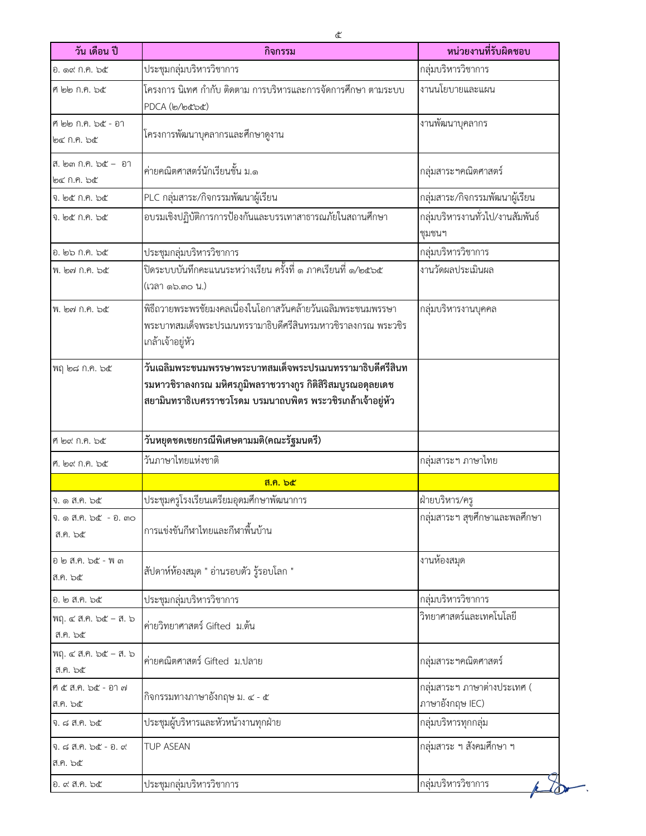| วัน เดือน ปี                     | กิจกรรม                                                                                                                                                                                 | หน่วยงานที่รับผิดชอบ                           |
|----------------------------------|-----------------------------------------------------------------------------------------------------------------------------------------------------------------------------------------|------------------------------------------------|
| อ. ด๙ ก.ค. ๖๕                    | ประชุมกลุ่มบริหารวิชาการ                                                                                                                                                                | กลุ่มบริหารวิชาการ                             |
| ศ ๒๒ ก.ค. ๖๕                     | โครงการ นิเทศ กำกับ ติดตาม การบริหารและการจัดการศึกษา ตามระบบ<br>PDCA (๒/๒๕๖๕)                                                                                                          | งานนโยบายและแผน                                |
| ศี ๒๒ ก.ค. ๖๕ - อา<br>৩৫ গ.৭. ১๕ | โครงการพัฒนาบุคลากรและศึกษาดูงาน                                                                                                                                                        | งานพัฒนาบุคลากร                                |
| ส. ๒๓ ก.ค. ๖๕ - อา<br>๒๔ ก.ค. ๖๕ | ค่ายคณิตศาสตร์นักเรียนชั้น ม.๑                                                                                                                                                          | กลุ่มสาระฯคณิตศาสตร์                           |
| จ. ๒๕ ก.ค. ๖๕                    | PLC กลุ่มสาระ/กิจกรรมพัฒนาผู้เรียน                                                                                                                                                      | กลุ่มสาระ/กิจกรรมพัฒนาผู้เรียน                 |
| จ. ๒๕ ก.ค. ๖๕                    | อบรมเชิงปฏิบัติการการป้องกันและบรรเทาสาธารณภัยในสถานศึกษา                                                                                                                               | กลุ่มบริหารงานทั่วไป/งานสัมพันธ์<br>ชุมชนฯ     |
| อ. ๒๖ ก.ค. ๖๕                    | ประชุมกลุ่มบริหารวิชาการ                                                                                                                                                                | กลุ่มบริหารวิชาการ                             |
| พ. ๒๗ ก.ค. ๖๕                    | (เวลา ๑๖.๓๐ น.)                                                                                                                                                                         | งานวัดผลประเมินผล                              |
| พ. ๒๗ ก.ค. ๖๕                    | พิธีถวายพระพรชัยมงคลเนื่องในโอกาสวันคล้ายวันเฉลิมพระชนมพรรษา<br>พระบาทสมเด็จพระปรเมนทรรามาธิบดีศรีสินทรมหาวชิราลงกรณ พระวชิร<br>เกล้าเจ้าอยู่หัว                                        | กลุ่มบริหารงานบุคคล                            |
| พฤ ๒๘ ก.ค. ๖๕                    | วันเฉลิมพระชนมพรรษาพระบาทสมเด็จพระปรเมนทรรามาธิบดีศรีสินท<br>รมหาวชิราลงกรณ มหิศรภูมิพลราชวรางกูร กิติสิริสมบูรณอดุลยเดช<br>สยามินทราธิเบศรราชวโรดม บรมนาถบพิตร พระวชิรเกล้าเจ้าอยู่หัว |                                                |
| ศี ๒๙ ก.ค. ๖๕                    | วันหยุดชดเชยกรณีพิเศษตามมติ(คณะรัฐมนตรี)                                                                                                                                                |                                                |
| ศ. ๒๙ ก.ค. ๖๕                    | วันภาษาไทยแห่งชาติ                                                                                                                                                                      | กลุ่มสาระฯ ภาษาไทย                             |
|                                  | <u>ส.ค. ๖๕</u>                                                                                                                                                                          |                                                |
| จ. ๑ ส.ค. ๖๕                     | ประชุมครูโรงเรียนเตรียมอุดมศึกษาพัฒนาการ                                                                                                                                                | ฝ่ายบริหาร/ครู                                 |
| จ. ๑ ส.ค. ๖๕  - อ. ๓๐<br>ส.ค. ๖๕ | การแข่งขันกีฬาไทยและกีฬาพื้นบ้าน                                                                                                                                                        | กลุ่มสาระฯ สุขศึกษาและพลศึกษา                  |
| อ ๒ ส.ค. ๖๕ - พ ๓<br>ส.ค. ๖๕     | สัปดาห์ห้องสมุด " อ่านรอบตัว รู้รอบโลก "                                                                                                                                                | งานห้องสมุด                                    |
| อ. ๒ ส.ค. ๖๕                     | ประชุมกลุ่มบริหารวิชาการ                                                                                                                                                                | กลุ่มบริหารวิชาการ                             |
| พฤ. ๔ ส.ค. ๖๕ - ส. ๖<br>ส.ค. ๖๕  | ค่ายวิทยาศาสตร์ Gifted ม.ต้น                                                                                                                                                            | วิทยาศาสตร์และเทคโนโลยี                        |
| พฤ. ๔ ส.ค. ๖๕ - ส. ๖<br>ส.ค. ๖๕  | ค่ายคณิตศาสตร์ Gifted ม.ปลาย                                                                                                                                                            | กลุ่มสาระฯคณิตศาสตร์                           |
| ศ ๕ ส.ค. ๖๕ - อา ๗<br>ส.ค. ๖๕    | กิจกรรมทางภาษาอังกฤษ ม. ๔ - ๕                                                                                                                                                           | กลุ่มสาระฯ ภาษาต่างประเทศ (<br>ภาษาอังกฤษ IEC) |
| จ. ๘ ส.ค. ๖๕                     | ประชุมผู้บริหารและหัวหน้างานทุกฝ่าย                                                                                                                                                     | กลุ่มบริหารทุกกลุ่ม                            |
| จ. ๘ ส.ค. ๖๕ - อ. ๙<br>ส.ค. ๖๕   | TUP ASEAN                                                                                                                                                                               | กลุ่มสาระ ฯ สังคมศึกษา ฯ                       |
| อ. ๙ ส.ค. ๖๕                     | ประชุมกลุ่มบริหารวิชาการ                                                                                                                                                                | กลุ่มบริหารวิชาการ                             |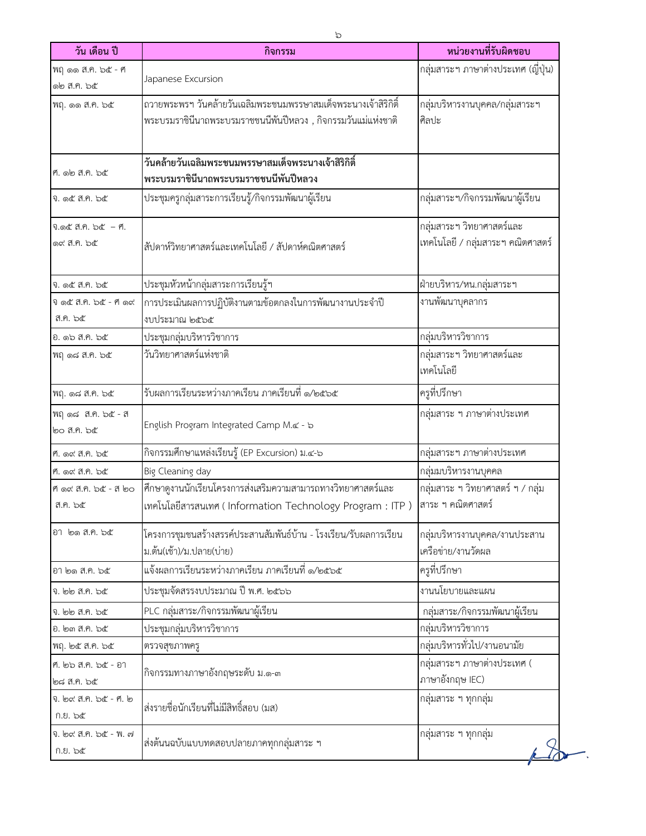| วัน เดือน ปี                            | กิจกรรม                                                                                                                          | หน่วยงานที่รับผิดชอบ                                           |
|-----------------------------------------|----------------------------------------------------------------------------------------------------------------------------------|----------------------------------------------------------------|
| ฟฤ ๑๑ ส.ค. ๖๕ - ศ<br>๑๒ ส.ค. ๖๕         | Japanese Excursion                                                                                                               | กลุ่มสาระฯ ภาษาต่างประเทศ (ญี่ปุ่น)                            |
| พฤ. ๑๑ ส.ค. ๖๕                          | ถวายพระพรฯ วันคล้ายวันเฉลิมพระชนมพรรษาสมเด็จพระนางเจ้าสิริกิติ์<br>พระบรมราชินีนาถพระบรมราชชนนีพันปีหลวง , กิจกรรมวันแม่แห่งชาติ | กลุ่มบริหารงานบุคคล/กลุ่มสาระฯ<br>ศิลปะ                        |
| ศ. ๑๒ ส.ค. ๖๕                           | วันคล้ายวันเฉลิมพระชนมพรรษาสมเด็จพระนางเจ้าสิริกิติ์<br>พระบรมราชินีนาถพระบรมราชชนนีพันปีหลวง                                    |                                                                |
| จ. ๑๕ ส.ค. ๖๕                           | ประชุมครูกลุ่มสาระการเรียนรู้/กิจกรรมพัฒนาผู้เรียน                                                                               | กลุ่มสาระฯ/กิจกรรมพัฒนาผู้เรียน                                |
| จ.ด๕ ส.ค. ๖๕ - ศ.<br>෧๙ ส.ค. ๖๕         | สัปดาห์วิทยาศาสตร์และเทคโนโลยี / สัปดาห์คณิตศาสตร์                                                                               | กลุ่มสาระฯ วิทยาศาสตร์และ<br>เทคโนโลยี / กลุ่มสาระฯ คณิตศาสตร์ |
| จ. ๑๕ ส.ค. ๖๕                           | ประชุมหัวหน้ากลุ่มสาระการเรียนรู้ฯ                                                                                               | ฝ่ายบริหาร/หน.กลุ่มสาระฯ                                       |
| จิด๕ ส.ค. ๖๕ - ศีด๙<br>ส.ค. ๖๕          | การประเมินผลการปฏิบัติงานตามข้อตกลงในการพัฒนางานประจำปี<br>งบประมาณ ๒๕๖๕                                                         | งานพัฒนาบุคลากร                                                |
| อ. ๑๖ ส.ค. ๖๕                           | ประชุมกลุ่มบริหารวิชาการ                                                                                                         | กลุ่มบริหารวิชาการ                                             |
| ฟฤ ด๘ ส.ค. ๖๕                           | วันวิทยาศาสตร์แห่งชาติ                                                                                                           | กลุ่มสาระฯ วิทยาศาสตร์และ<br>เทคโนโลยี                         |
| ฟฤ. ๑๘ ส.ค. ๖๕                          | รับผลการเรียนระหว่างภาคเรียน ภาคเรียนที่ ๑/๒๕๖๕                                                                                  | ครูที่ปรึกษา                                                   |
| พฤด๘ ส.ค. ๖๕ - ส<br>๒๐ ส.ค. ๖๕          | English Program Integrated Camp M.& - b                                                                                          | กลุ่มสาระ ฯ ภาษาต่างประเทศ                                     |
| ศ. ๑๙ ส.ค. ๖๕                           | กิจกรรมศึกษาแหล่งเรียนรู้ (EP Excursion) ม.๔-๖                                                                                   | กลุ่มสาระฯ ภาษาต่างประเทศ                                      |
| ศ. ๑๙ ส.ค. ๖๕                           | Big Cleaning day                                                                                                                 | กลุ่มมบริหารงานบุคคล                                           |
| ศ ด๙ ส.ค. ๖๕ - ส ๒๐<br>ส.ค. ๖๕          | <br> ศึกษาดูงานนักเรียนโครงการส่งเสริมความสามารถทางวิทยาศาสตร์และ<br>เทคโนโลยีสารสนเทศ ( Information Technology Program : ITP )  | กลุ่มสาระ ฯ วิทยาศาสตร์ ฯ / กลุ่ม<br>ี่สาระ ฯ คณิตศาสตร์       |
| อา ๒๑ ส.ค. ๖๕                           | โครงการชุมชนสร้างสรรค์ประสานสัมพันธ์บ้าน - โรงเรียน/รับผลการเรียน<br>ม.ต้น(เช้า)/ม.ปลาย(บ่าย)                                    | กลุ่มบริหารงานบุคคล/งานประสาน<br>เครือข่าย/งานวัดผล            |
| อา ๒๑ ส.ค. ๖๕                           | แจ้งผลการเรียนระหว่างภาคเรียน ภาคเรียนที่ ๑/๒๕๖๕                                                                                 | ครูที่ปรึกษา                                                   |
| จ. ๒๒ ส.ค. ๖๕                           | ประชุมจัดสรรงบประมาณ ปี พ.ศ. ๒๕๖๖                                                                                                | งานนโยบายและแผน                                                |
| จ. ๒๒ ส.ค. ๖๕                           | PLC กลุ่มสาระ/กิจกรรมพัฒนาผู้เรียน                                                                                               | กลุ่มสาระ/กิจกรรมพัฒนาผู้เรียน                                 |
| อ. ๒๓ ส.ค. ๖๕                           | ประชุมกลุ่มบริหารวิชาการ                                                                                                         | กลุ่มบริหารวิชาการ                                             |
| พฤ. ๒๕ ส.ค. ๖๕                          | ตรวจสุขภาพครู                                                                                                                    | กลุ่มบริหารทั่วไป/งานอนามัย                                    |
| ศ. ๒๖ ส.ค. ๖๕ - อา<br>២๘ ส.ค. <b>๖๕</b> | กิจกรรมทางภาษาอังกฤษระดับ ม.๑-๓                                                                                                  | กลุ่มสาระฯ ภาษาต่างประเทศ (<br>ภาษาอังกฤษ IEC)                 |
| จ. ๒๙ ส.ค. ๖๕ - ศ. ๒<br>ก.ย. ๖๕         | ส่งรายชื่อนักเรียนที่ไม่มีสิทธิ์สอบ (มส)                                                                                         | กลุ่มสาระ ฯ ทุกกลุ่ม                                           |
| จ. ๒๙ ส.ค. ๖๕ - พ. ๗<br>ก.ย. ๖๕         | ส่งต้นนฉบับแบบทดสอบปลายภาคทุกกลุ่มสาระ ฯ                                                                                         | กลุ่มสาระ ฯ ทุกกลุ่ม                                           |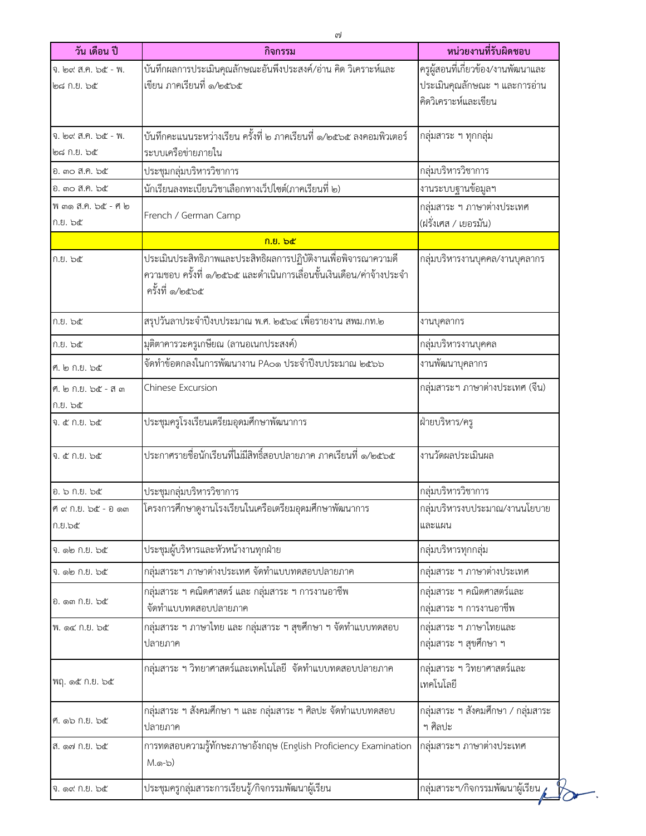| วัน เดือน ปี                      | กิจกรรม                                                                                                                                                   | หน่วยงานที่รับผิดชอบ                                 |
|-----------------------------------|-----------------------------------------------------------------------------------------------------------------------------------------------------------|------------------------------------------------------|
| จ. ๒๙ ส.ค. ๖๕ - พ.                | บันทึกผลการประเมินคุณลักษณะอันพึงประสงค์/อ่าน คิด วิเคราะห์และ                                                                                            | ้ครูผู้สอนที่เกี่ยวข้อง/งานพัฒนาและ                  |
| ๒๘ ก.ย. ๖๕                        | เขียน ภาคเรียนที่ ๑/๒๕๖๕                                                                                                                                  | ประเมินคุณลักษณะ ฯ และการอ่าน                        |
|                                   |                                                                                                                                                           | คิดวิเคราะห์และเขียน                                 |
| จ. ๒๙ ส.ค. ๖๕ - พ.                | บันทึกคะแนนระหว่างเรียน ครั้งที่ ๒ ภาคเรียนที่ ๑/๒๕๖๕ ลงคอมพิวเตอร์                                                                                       | กลุ่มสาระ ฯ ทุกกลุ่ม                                 |
| ๒๘ ก.ย. ๖๕                        | ระบบเครือข่ายภายใน                                                                                                                                        |                                                      |
| อ. ๓๐ ส.ค. ๖๕                     | ประชุมกลุ่มบริหารวิชาการ                                                                                                                                  | กลุ่มบริหารวิชาการ                                   |
| อ. ๓๐ ส.ค. ๖๕                     | นักเรียนลงทะเบียนวิชาเลือกทางเว็ปไซต์(ภาคเรียนที่ ๒)                                                                                                      | งานระบบฐานข้อมูลฯ                                    |
| ฟี ๓๑ สี.คิ. ๖๕ - ศี ๒<br>ก.ย. ๖๕ | French / German Camp                                                                                                                                      | กลุ่มสาระ ฯ ภาษาต่างประเทศ<br>(ฝรั่งเศส / เยอรมัน)   |
|                                   | ก.ย. ๖๕                                                                                                                                                   |                                                      |
| ก.ย. ๖๕                           | ประเมินประสิทธิภาพและประสิทธิผลการปฏิบัติงานเพื่อพิจารณาความดี<br>ความชอบ ครั้งที่ ๑/๒๕๖๕ และดำเนินการเลื่อนขั้นเงินเดือน/ค่าจ้างประจำ<br>ครั้งที่ ๑/๒๕๖๕ | กลุ่มบริหารงานบุคคล/งานบุคลากร                       |
| ก.ย. ๖๕                           | ่สรุปวันลาประจำปีงบประมาณ พ.ศ. ๒๕๖๔ เพื่อรายงาน สพม.กท.๒                                                                                                  | งานบุคลากร                                           |
| ก.ย. ๖๕                           | มุติตาคารวะครูเกษียณ (ลานอเนกประสงค์)                                                                                                                     | กลุ่มบริหารงานบุคคล                                  |
| ศ. ๒ ก.ย. ๖๕                      | จัดทำข้อตกลงในการพัฒนางาน PAo๑ ประจำปีงบประมาณ ๒๕๖๖                                                                                                       | งานพัฒนาบุคลากร                                      |
| ศ. ๒ ก.ย. ๖๕ - ส ๓                | Chinese Excursion                                                                                                                                         | กลุ่มสาระฯ ภาษาต่างประเทศ (จีน)                      |
| ก.ย. ๖๕                           |                                                                                                                                                           |                                                      |
| จ. ๕ ก.ย. ๖๕                      | ประชุมครูโรงเรียนเตรียมอุดมศึกษาพัฒนาการ                                                                                                                  | ฝ่ายบริหาร/ครู                                       |
| จ. ๕ ก.ย. ๖๕                      | ประกาศรายชื่อนักเรียนที่ไม่มีสิทธิ์สอบปลายภาค ภาคเรียนที่ ๑/๒๕๖๕                                                                                          | งานวัดผลประเมินผล                                    |
| อ. ๖ ก.ย. ๖๕                      | ประชุมกลุ่มบริหารวิชาการ                                                                                                                                  | กลุ่มบริหารวิชาการ                                   |
| ที่ ๙ ก.ย. ๖๕ - อ ๑๓<br>ಗಿ.೮.๖๕   | โครงการศึกษาดูงานโรงเรียนในเครือเตรียมอุดมศึกษาพัฒนาการ                                                                                                   | กลุ่มบริหารงบประมาณ/งานนโยบาย<br>และแผน              |
| จิ. ๑๒ ก.ย. ๖๕                    | ประชุมผู้บริหารและหัวหน้างานทุกฝ่าย                                                                                                                       | กลุ่มบริหารทุกกลุ่ม                                  |
| จิ. ๑๒ ก.ย. ๖๕                    | กลุ่มสาระฯ ภาษาต่างประเทศ จัดทำแบบทดสอบปลายภาค                                                                                                            | กลุ่มสาระ ฯ ภาษาต่างประเทศ                           |
| ี่ 0. ดูต กิ.ย. ๖๕                | กลุ่มสาระ ฯ คณิตศาสตร์ และ กลุ่มสาระ ฯ การงานอาชีพ<br>จัดทำแบบทดสอบปลายภาค                                                                                | กลุ่มสาระ ฯ คณิตศาสตร์และ<br>กลุ่มสาระ ฯ การงานอาชีพ |
| พ. ด๔ ก.ย. ๖๕                     | กลุ่มสาระ ฯ ภาษาไทย และ กลุ่มสาระ ฯ สุขศึกษา ฯ จัดทำแบบทดสอบ<br>ปลายภาค                                                                                   | กลุ่มสาระ ฯ ภาษาไทยและ<br>กลุ่มสาระ ฯ สุขศึกษา ฯ     |
| พฤ. ๑๕ ก.ย. ๖๕                    | กลุ่มสาระ ฯ วิทยาศาสตร์และเทคโนโลยี จัดทำแบบทดสอบปลายภาค                                                                                                  | กลุ่มสาระ ฯ วิทยาศาสตร์และ<br>เทคโนโลยี              |
| ศ. ๑๖ ก.ย. ๖๕                     | กลุ่มสาระ ฯ สังคมศึกษา ฯ และ กลุ่มสาระ ฯ ศิลปะ จัดทำแบบทดสอบ<br>ปลายภาค                                                                                   | กลุ่มสาระ ฯ สังคมศึกษา / กลุ่มสาระ<br>ฯ ศิลปะ        |
| สี. ด๗ ก.ย. ๖๕                    | การทดสอบความรู้ทักษะภาษาอังกฤษ (English Proficiency Examination<br>M.໑-๖)                                                                                 | กลุ่มสาระฯ ภาษาต่างประเทศ                            |
| จิ. ด๙ กิ.ย. ๖๕                   | ประชุมครูกลุ่มสาระการเรียนรู้/กิจกรรมพัฒนาผู้เรียน                                                                                                        | กลุ่มสาระฯ/กิจกรรมพัฒนาผู้เรียน                      |
|                                   |                                                                                                                                                           |                                                      |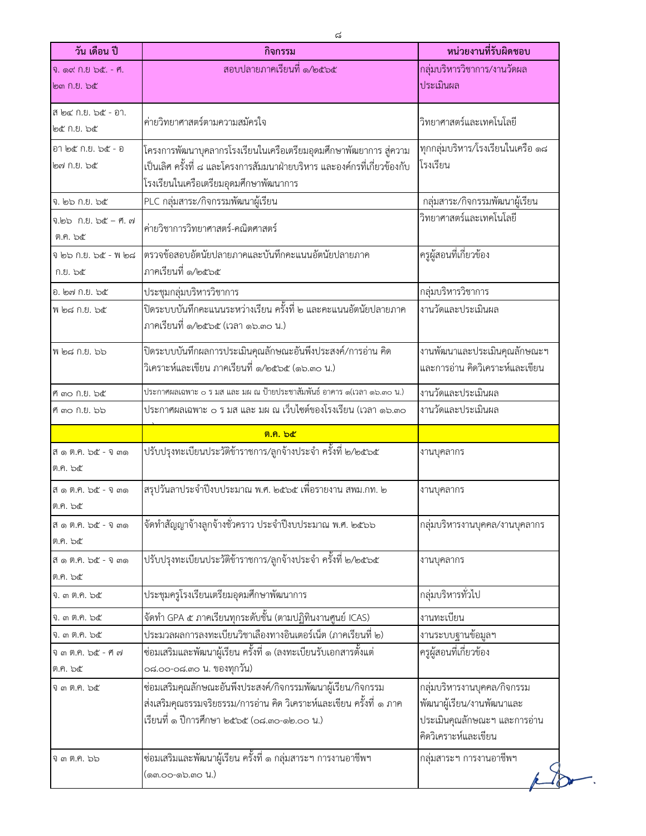| วัน เดือน ปี                      | กิจกรรม                                                                                                                                                                                 | หน่วยงานที่รับผิดชอบ                                                                                             |
|-----------------------------------|-----------------------------------------------------------------------------------------------------------------------------------------------------------------------------------------|------------------------------------------------------------------------------------------------------------------|
| จิ. ดู๙ กิ.ยิ ๖๕. - ฅ.            | สอบปลายภาคเรียนที่ ๑/๒๕๖๕                                                                                                                                                               | กลุ่มบริหารวิชาการ/งานวัดผล                                                                                      |
| <b>bm</b> ก.ย. ๖๕                 |                                                                                                                                                                                         | ประเมินผล                                                                                                        |
| สี ๒๔ ก.ย. ๖๕ - อา.<br>๒๕ ก.ย. ๖๕ | ค่ายวิทยาศาสตร์ตามความสมัครใจ                                                                                                                                                           | วิทยาศาสตร์และเทคโนโลยี                                                                                          |
| อา ๒๕ ก.ย. ๖๕ - อ<br>๒๗ ก.ย. ๖๕   | โครงการพัฒนาบุคลากรโรงเรียนในเครือเตรียมอุดมศึกษาพัฒยาการ สู่ความ<br>เป็นเลิศ ครั้งที่ ๘ และโครงการสัมมนาฝ่ายบริหาร และองค์กรที่เกี่ยวข้องกับ<br>โรงเรียนในเครือเตรียมอุดมศึกษาพัฒนาการ | ทุกกลุ่มบริหาร/โรงเรียนในเครือ ๑๘<br>โรงเรียน                                                                    |
| จ. ๒๖ ก.ย. ๖๕                     | PLC กลุ่มสาระ/กิจกรรมพัฒนาผู้เรียน                                                                                                                                                      | กลุ่มสาระ/กิจกรรมพัฒนาผู้เรียน                                                                                   |
| จ.๒๖ ก.ย. ๖๕ – ศ. ๗<br>ต.ค. ๖๕    | ค่ายวิชาการวิทยาศาสตร์-คณิตศาสตร์                                                                                                                                                       | วิทยาศาสตร์และเทคโนโลยี                                                                                          |
| จ ๒๖ ก.ย. ๖๕ - พ ๒๘<br>ก.ย. ๖๕    | ตรวจข้อสอบอัตนัยปลายภาคและบันทึกคะแนนอัตนัยปลายภาค<br>ภาคเรียนที่ ๑/๒๕๖๕                                                                                                                | ครูผู้สอนที่เกี่ยวข้อง                                                                                           |
| อ. ๒๗ ก.ย. ๖๕                     | ประชุมกลุ่มบริหารวิชาการ                                                                                                                                                                | กลุ่มบริหารวิชาการ                                                                                               |
| พี ๒๘ ก.ย. ๖๕                     | ปิดระบบบันทึกคะแนนระหว่างเรียน ครั้งที่ ๒ และคะแนนอัตนัยปลายภาค<br>ภาคเรียนที่ ๑/๒๕๖๕ (เวลา ๑๖.๓๐ น.)                                                                                   | งานวัดและประเมินผล                                                                                               |
| พี ๒๘ ก.ย. ๖๖                     | ปิดระบบบันทึกผลการประเมินคุณลักษณะอันพึงประสงค์/การอ่าน คิด<br>วิเคราะห์และเขียน ภาคเรียนที่ ๑/๒๕๖๕ (๑๖.๓๐ น.)                                                                          | งานพัฒนาและประเมินคุณลักษณะฯ<br>และการอ่าน คิดวิเคราะห์และเขียน                                                  |
| ศี ๓๐ ก.ย. ๖๕                     | ประกาศผลเฉพาะ ๐ ร มส และ มผ ณ ป้ายประชาสัมพันธ์ อาคาร ๑(เวลา ๑๖.๓๐ น.)                                                                                                                  | งานวัดและประเมินผล                                                                                               |
| ศ์ ๓๐ ก.ย. ๖๖                     | ประกาศผลเฉพาะ ๐ ร มส และ มผ ณ เว็บไซต์ของโรงเรียน (เวลา ๑๖.๓๐                                                                                                                           | งานวัดและประเมินผล                                                                                               |
|                                   | ท.ค. ๖๕                                                                                                                                                                                 |                                                                                                                  |
| ส ๑ ต.ค. ๖๕ - จ ๓๑<br>ต.ค. ๖๕     | ปรับปรุงทะเบียนประวัติข้าราชการ/ลูกจ้างประจำ ครั้งที่ ๒/๒๕๖๕                                                                                                                            | งานบุคลากร                                                                                                       |
| ส ๑ ต.ค. ๖๕ - จ ๓๑<br>ต.ค. ๖๕     | สรุปวันลาประจำปีงบประมาณ พ.ศ. ๒๕๖๕ เพื่อรายงาน สพม.กท. ๒                                                                                                                                | งานบุคลากร                                                                                                       |
| ส ๑ ต.ค. ๖๕ - จ ๓๑<br>ต.ค. ๖๕     | จัดทำสัญญาจ้างลูกจ้างชั่วคราว ประจำปีงบประมาณ พ.ศ. ๒๕๖๖                                                                                                                                 | กลุ่มบริหารงานบุคคล/งานบุคลากร                                                                                   |
| ส ๑ ต.ค. ๖๕ - จ ๓๑<br>ต.ค. ๖๕     | ปรับปรุงทะเบียนประวัติข้าราชการ/ลูกจ้างประจำ ครั้งที่ ๒/๒๕๖๕                                                                                                                            | งานบุคลากร                                                                                                       |
| จิ. ๓ ติ.คิ. ๖๕                   | ประชุมครูโรงเรียนเตรียมอุดมศึกษาพัฒนาการ                                                                                                                                                | กลุ่มบริหารทั่วไป                                                                                                |
| จิ. ๓ ติ.คิ. ๖๕                   | จัดทำ GPA ๕ ภาคเรียนทุกระดับชั้น (ตามปฏิทินงานศูนย์ ICAS)                                                                                                                               | งานทะเบียน                                                                                                       |
| จิ. ๓ ติ.คิ. ๖๕                   | ประมวลผลการลงทะเบียนวิชาเลืองทางอินเตอร์เน็ต (ภาคเรียนที่ ๒)                                                                                                                            | งานระบบฐานข้อมูลฯ                                                                                                |
| จิตต.ค. ๖๕ - ศัต                  | ซ่อมเสริมและพัฒนาผู้เรียน ครั้งที่ ๑ (ลงทะเบียนรับเอกสารตั้งแต่                                                                                                                         | ครูผู้สอนที่เกี่ยวข้อง                                                                                           |
| ต.ค. ๖๕                           | ๐๘.๐๐-๐๘.๓๐ น. ของทุกวัน)                                                                                                                                                               |                                                                                                                  |
| จิต ติ.คิ. ๖๕                     | ซ่อมเสริมคุณลักษณะอันพึงประสงค์/กิจกรรมพัฒนาผู้เรียน/กิจกรรม<br>ส่งเสริมคุณธรรมจริยธรรม/การอ่าน คิด วิเคราะห์และเขียน ครั้งที่ ๑ ภาค<br>เรียนที่ ๑ ปีการศึกษา ๒๕๖๕ (๐๘.๓๐-๑๒.๐๐ น.)     | กลุ่มบริหารงานบุคคล/กิจกรรม<br>พัฒนาผู้เรียน/งานพัฒนาและ<br>ประเมินคุณลักษณะฯ และการอ่าน<br>คิดวิเคราะห์และเขียน |
| จิ ๓ ติ.คิ. ๖๖                    | ซ่อมเสริมและพัฒนาผู้เรียน ครั้งที่ ๑ กลุ่มสาระฯ การงานอาชีพฯ<br>(໑ຓ.໐໐-໑๖.ຓ໐ น.)                                                                                                        | กลุ่มสาระฯ การงานอาชีพฯ                                                                                          |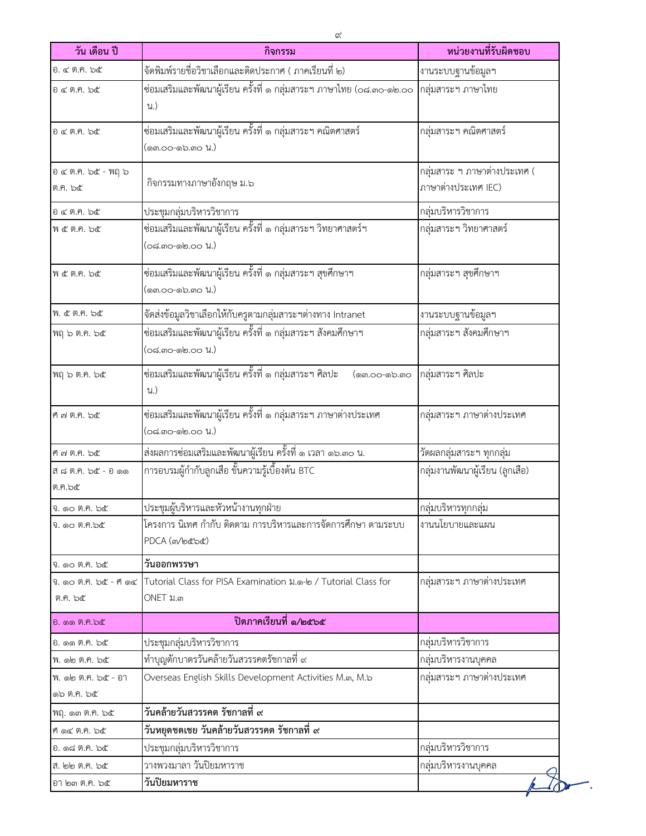| วัน เดือน ปี                        | กิจกรรม                                                                            | หน่วยงานที่รับผิดชอบ                                |
|-------------------------------------|------------------------------------------------------------------------------------|-----------------------------------------------------|
| อ. ๔ ต.ค. ๖๕                        | จัดพิมพ์รายชื่อวิชาเลือกและติดประกาศ ( ภาคเรียนที่ ๒)                              | งานระบบฐานข้อมูลฯ                                   |
| อ ๔ ต.ค. ๖๕                         | ช่อมเสริมและพัฒนาผู้เรียน ครั้งที่ ๑ กลุ่มสาระฯ ภาษาไทย (๐๘.๓๐-๑๒.๐๐<br>น.)        | กลุ่มสาระฯ ภาษาไทย                                  |
| อ ๔ ต.ค. ๖๕                         | ซ่อมเสริมและพัฒนาผู้เรียน ครั้งที่ ๑ กลุ่มสาระฯ คณิตศาสตร์<br>(ด๓.๐๐-๑๖.๓๐ น.)     | กลุ่มสาระฯ คณิตศาสตร์                               |
| อ ๔ ต.ค. ๖๕ - พฤ ๖<br>ต.ค. ๖๕       | กิจกรรมทางภาษาอังกฤษ ม.๖                                                           | กลุ่มสาระ ฯ ภาษาต่างประเทศ (<br>ภาษาต่างประเทศ IEC) |
| $0\not\in$ ต.ค. ๖๕                  | ประชุมกลุ่มบริหารวิชาการ                                                           | กลุ่มบริหารวิชาการ                                  |
| พ ๕ ต.ค. ๖๕                         | ซ่อมเสริมและพัฒนาผู้เรียน ครั้งที่ ๑ กลุ่มสาระฯ วิทยาศาสตร์ฯ<br>(๐๘.๓๐-๑๒.๐๐ น.)   | กลุ่มสาระฯ วิทยาศาสตร์                              |
| พ ๕ ต.ค. ๖๕                         | ช่อมเสริมและพัฒนาผู้เรียน ครั้งที่ ๑ กลุ่มสาระฯ สุขศึกษาฯ<br>(ด๓.๐๐-๑๖.๓๐ น.)      | กลุ่มสาระฯ สุขศึกษาฯ                                |
| พ. ๕ ต.ค. ๖๕                        | จัดส่งข้อมูลวิชาเลือกให้กับครูตามกลุ่มสาระฯต่างทาง Intranet                        | งานระบบฐานข้อมูลฯ                                   |
| พฤษ ต.ค. ๖๕                         | ซ่อมเสริมและพัฒนาผู้เรียน ครั้งที่ ๑ กลุ่มสาระฯ สังคมศึกษาฯ<br>(๐๘.๓๐-๑๒.๐๐ น.)    | กลุ่มสาระฯ สังคมศึกษาฯ                              |
| พฤ ๖ ต.ค. ๖๕                        | ซ่อมเสริมและพัฒนาผู้เรียน ครั้งที่ ๑ กลุ่มสาระฯ ศิลปะ<br>(வை.00-லெ.ஸ்<br>น.)       | กลุ่มสาระฯ ศิลปะ                                    |
| ศ ๗ ต.ค. ๖๕                         | ซ่อมเสริมและพัฒนาผู้เรียน ครั้งที่ ๑ กลุ่มสาระฯ ภาษาต่างประเทศ<br>(๐๘.๓๐-๑๒.๐๐ น.) | กลุ่มสาระฯ ภาษาต่างประเทศ                           |
| ศ ๗ ต.ค. ๖๕                         | ส่งผลการซ่อมเสริมและพัฒนาผู้เรียน ครั้งที่ ๑ เวลา ๑๖.๓๐ น.                         | วัดผลกลุ่มสาระฯ ทุกกลุ่ม                            |
| สี ๘ ต.ค. ๖๕ - อ ๑๑<br>ต.ค.๖๕       | การอบรมผู้กำกับลูกเสือ ขั้นความรู้เบื้องต้น BTC                                    | กลุ่มงานพัฒนาผู้เรียน (ลูกเสือ)                     |
| จิ. ๑๐ ติ.ค. ๖๕                     | ประชุมผู้บริหารและหัวหน้างานทุกฝ่าย                                                | กลุ่มบริหารทุกกลุ่ม                                 |
| จิ. ดอ ติ.คิ.๖๕                     | โครงการ นิเทศ กำกับ ติดตาม การบริหารและการจัดการศึกษา ตามระบบ<br>PDCA (m/bcbc)     | งานนโยบายและแผน                                     |
| จิ. ๑๐ ติ.ค. ๖๕                     | วันออกพรรษา                                                                        |                                                     |
| จิ. ดอ ติ.คิ. ๖๕ - ศี ด๔<br>ต.ค. ๖๕ | Tutorial Class for PISA Examination ม.๑-๒ / Tutorial Class for<br>ONET ม.๓         | กลุ่มสาระฯ ภาษาต่างประเทศ                           |
| อ. ๑๑ ต.ค.๖๕                        | ปิดภาคเรียนที่ ๑/๒๕๖๕                                                              |                                                     |
| อ. ๑๑ ต.ค. ๖๕                       | ประชุมกลุ่มบริหารวิชาการ                                                           | กลุ่มบริหารวิชาการ                                  |
| พ. ๑๒ ต.ค. ๖๕                       | ทำบุญตักบาตรวันคล้ายวันสวรรคตรัชกาลที่ ๙                                           | กลุ่มบริหารงานบุคคล                                 |
| พ. ๑๒ ต.ค. ๖๕ - อา<br>๑๖ ต.ค. ๖๕    | Overseas English Skills Development Activities M.m, M.b                            | กลุ่มสาระฯ ภาษาต่างประเทศ                           |
| พฤ. ๑๓ ต.ค. ๖๕                      | วันคล้ายวันสวรรคต รัชกาลที่ ๙                                                      |                                                     |
| ศ ด๔ ต.ค. ๖๕                        | วันหยุดชดเชย วันคล้ายวันสวรรคต รัชกาลที่ ๙                                         |                                                     |
| อ. ด๘ ต.ค. ๖๕                       | ประชุมกลุ่มบริหารวิชาการ                                                           | กลุ่มบริหารวิชาการ                                  |
| ส. ๒๒ ต.ค. ๖๕                       | วางพวงมาลา วันปิยมหาราช                                                            | กลุ่มบริหารงานบุคคล                                 |
| อา ๒๓ ต.ค. ๖๕                       | วันปิยมหาราช                                                                       |                                                     |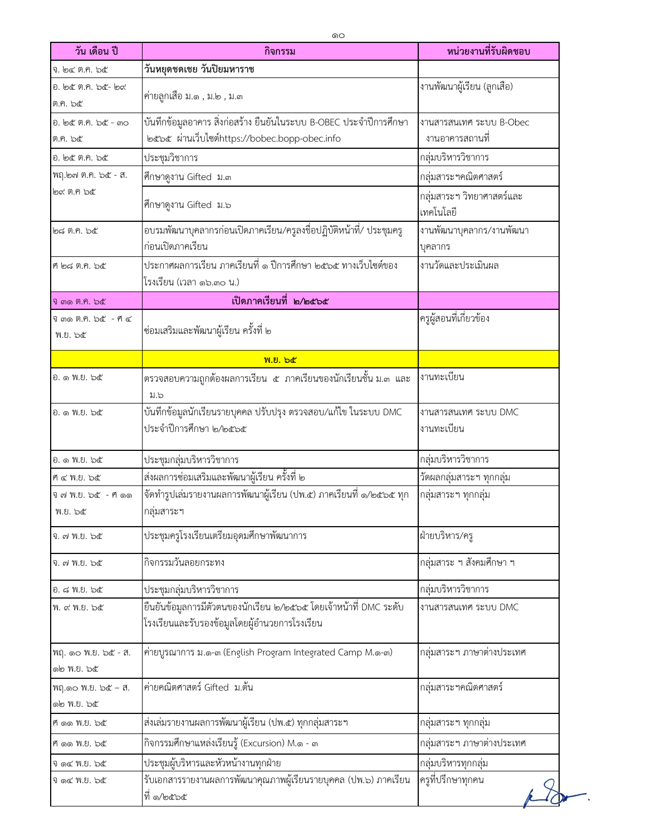| วัน เดือน ปี                      | กิจกรรม                                                                                                             | หน่วยงานที่รับผิดชอบ                       |
|-----------------------------------|---------------------------------------------------------------------------------------------------------------------|--------------------------------------------|
| จ. ๒๔ ต.ค. ๖๕                     | วันหยุดชดเชย วันปิยมหาราช                                                                                           |                                            |
| อ. ๒๕ ต.ค. ๖๕- ๒๙<br>ต.ค. ๖๕      | ค่ายลูกเสื้อ ม.๑ , ม.๒ , ม.๓                                                                                        | งานพัฒนาผู้เรียน (ลูกเสือ)                 |
| อ. ๒๕ ต.ค. ๖๕ - ๓๐<br>ต.ค. ๖๕     | บันทึกข้อมูลอาคาร สิ่งก่อสร้าง ยืนยันในระบบ B-OBEC ประจำปีการศึกษา<br>๒๕๖๕ ผ่านเว็บไซต์https://bobec.bopp-obec.info | งานสารสนเทศ ระบบ B-Obec<br>งานอาคารสถานที่ |
| อ. ๒๕ ต.ค. ๖๕                     | ประชุมวิชาการ                                                                                                       | กลุ่มบริหารวิชาการ                         |
| พฤ.๒๗ ต.ค. ๖๕ - ส.                | ศึกษาดูงาน Gifted ม.๓                                                                                               | กลุ่มสาระฯคณิตศาสตร์                       |
| ๒๙ ฅ.ฅ ๖๕                         | ศึกษาดูงาน Gifted ม.๖                                                                                               | ุกลุ่มสาระฯ วิทยาศาสตร์และ<br>เทคโนโลยี    |
| ២ದ ೫.೯. ៦๕                        | ้อบรมพัฒนาบุคลากรก่อนเปิดภาคเรียน/ครูลงชื่อปฏิบัติหน้าที่/ ประชุมครู<br>ก่อนเปิดภาคเรียน                            | งานพัฒนาบุคลากร/งานพัฒนา<br>บุคลากร        |
| ศ ๒๘ ต.ค. ๖๕                      | ประกาศผลการเรียน ภาคเรียนที่ ๑ ปีการศึกษา ๒๕๖๕ ทางเว็บไซต์ของ<br>โรงเรียน (เวลา ๑๖.๓๐ น.)                           | งานวัดและประเมินผล                         |
| จิ ๓๑ ติ.ค. ๖๕                    | เปิดภาคเรียนที่ ๒/๒๕๖๕                                                                                              |                                            |
| จิ ๓๑ ต.ค. ๖๕ - ศี ๔<br>พ.ย. ๖๕   | ซ่อมเสริมและพัฒนาผู้เรียน ครั้งที่ ๒                                                                                | ครูผู้สอนที่เกี่ยวข้อง                     |
|                                   | พ.ย. ๖๕                                                                                                             |                                            |
| อ. ๑ พ.ย. ๖๕                      | ตรวจสอบความถูกต้องผลการเรียน ๕ ภาคเรียนของนักเรียนชั้น ม.๓ และ<br>ม.๖                                               | งานทะเบียน                                 |
| อ. ๑ พ.ย. ๖๕                      | บันทึกข้อมูลนักเรียนรายบุคคล ปรับปรุง ตรวจสอบ/แก้ไข ในระบบ DMC<br>ประจำปีการศึกษา ๒/๒๕๖๕                            | งานสารสนเทศ ระบบ DMC<br>งานทะเบียน         |
| ව. ඉ W.U. b๕                      | ประชุมกลุ่มบริหารวิชาการ                                                                                            | กลุ่มบริหารวิชาการ                         |
| ศ ๔ พ.ย. ๖๕                       | ส่งผลการซ่อมเสริมและพัฒนาผู้เรียน ครั้งที่ ๒                                                                        | วัดผลกลุ่มสาระฯ ทุกกลุ่ม                   |
| จิ ๗ พ.ย. ๖๕ - ศี ๑๑<br>พ.ย. ๖๕   | จัดทำรูปเล่มรายงานผลการพัฒนาผู้เรียน (ปพ.๕) ภาคเรียนที่ ๑/๒๕๖๕ ทุก<br>กลุ่มสาระฯ                                    | ุกลุ่มสาระฯ ทุกกลุ่ม                       |
| จิ. ๗ พ.ย. ๖๕                     | ประชุมครูโรงเรียนเตรียมอุดมศึกษาพัฒนาการ                                                                            | ฝ่ายบริหาร/ครู                             |
| จ. ๗ พ.ย. ๖๕                      | กิจกรรมวันลอยกระทง                                                                                                  | กลุ่มสาระ ฯ สังคมศึกษา ฯ                   |
| อ. ๘ พ.ย. ๖๕                      | ประชุมกลุ่มบริหารวิชาการ                                                                                            | กลุ่มบริหารวิชาการ                         |
| พ. ๙ พ.ย. ๖๕                      | ยืนยันข้อมูลการมีตัวตนของนักเรียน ๒/๒๕๖๕ โดยเจ้าหน้าที่ DMC ระดับ<br>โรงเรียนและรับรองข้อมูลโดยผู้อำนวยการโรงเรียน  | งานสารสนเทศ ระบบ DMC                       |
| พฤ. ๑๐ พ.ย. ๖๕ - ส.<br>ගම W.U. bc | ค่ายบูรณาการ ม.๑-๓ (English Program Integrated Camp M.๑-๓)                                                          | กลุ่มสาระฯ ภาษาต่างประเทศ                  |
| พฤ.๑๐ พ.ย. ๖๕ - ส.<br>ด๒ พ.ย. ๖๕  | ค่ายคณิตศาสตร์ Gifted ม.ต้น                                                                                         | กลุ่มสาระฯคณิตศาสตร์                       |
| ที่ ดด พ.ย. ๖๕                    | ส่งเล่มรายงานผลการพัฒนาผู้เรียน (ปพ.๕) ทุกกลุ่มสาระฯ                                                                | ึกลุ่มสาระฯ ทุกกลุ่ม                       |
| ศ ๑๑ พ.ย. ๖๕                      | กิจกรรมศึกษาแหล่งเรียนรู้ (Excursion) M.๑ - ๓                                                                       | กลุ่มสาระฯ ภาษาต่างประเทศ                  |
| จ ด๔ พ.ย. ๖๕                      | ประชุมผู้บริหารและหัวหน้างานทุกฝ่าย                                                                                 | กลุ่มบริหารทุกกลุ่ม                        |
| จ ด๔ พ.ย. ๖๕                      | รับเอกสารรายงานผลการพัฒนาคุณภาพผู้เรียนรายบุคคล (ปพ.๖) ภาคเรียน<br>ที่ ๑/๒๕๖๕                                       | ครูที่ปรึกษาทุกคน                          |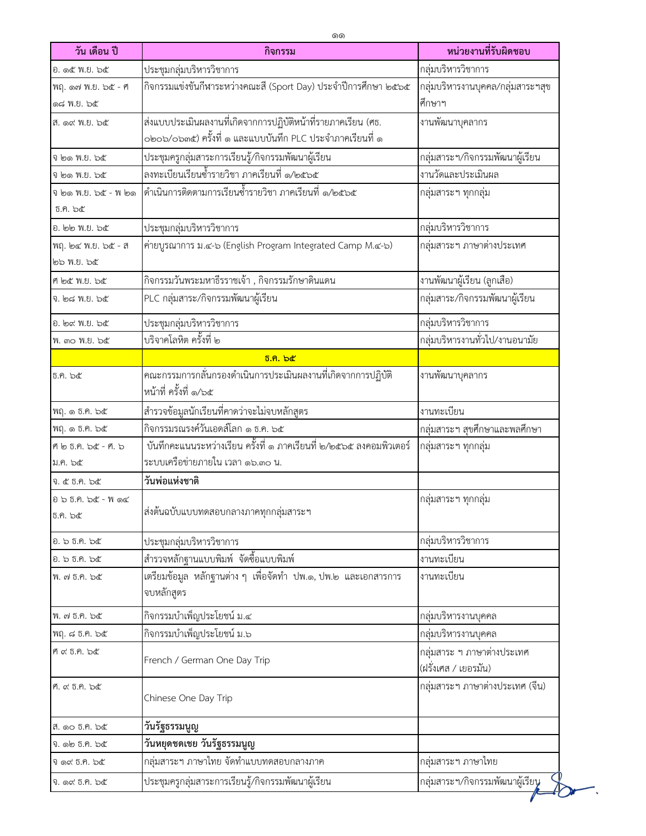| วัน เดือน ปี                  | กิจกรรม                                                                            | หน่วยงานที่รับผิดชอบ              |
|-------------------------------|------------------------------------------------------------------------------------|-----------------------------------|
| อ. ๑๕ พ.ย. ๖๕                 | ประชุมกลุ่มบริหารวิชาการ                                                           | กลุ่มบริหารวิชาการ                |
| พฤ. ด๗ พ.ย. ๖๕ - ศ            | กิจกรรมแข่งขันกีฬาระหว่างคณะสี (Sport Day) ประจำปีการศึกษา ๒๕๖๕                    | กลุ่มบริหารงานบุคคล/กลุ่มสาระฯสุข |
| ඉය W.U. b&                    |                                                                                    | ศึกษาฯ                            |
| ส. ๑๙ พ.ย. ๖๕                 | ส่งแบบประเมินผลงานที่เกิดจากการปฏิบัติหน้าที่รายภาคเรียน (ศธ.                      | งานพัฒนาบุคลากร                   |
|                               | ๐๒๐๖/๐๖๓๕) ครั้งที่ ๑ และแบบบันทึก PLC ประจำภาคเรียนที่ ๑                          |                                   |
| จี ๒๑ พ.ย. ๖๕                 | ประชุมครูกลุ่มสาระการเรียนรู้/กิจกรรมพัฒนาผู้เรียน                                 | กลุ่มสาระฯ/กิจกรรมพัฒนาผู้เรียน   |
| จี ๒๑ พ.ย. ๖๕                 | ลงทะเบียนเรียนซ้ำรายวิชา ภาคเรียนที่ ๑/๒๕๖๕                                        | งานวัดและประเมินผล                |
| จี ๒๑ พ.ย. ๖๕ - พี ๒๑         | ดำเนินการติดตามการเรียนซ้ำรายวิชา ภาคเรียนที่ ๑/๒๕๖๕                               | กลุ่มสาระฯ ทุกกลุ่ม               |
| ช.ค. ๖๕                       |                                                                                    |                                   |
| อ. ๒๒ พ.ย. ๖๕                 | ประชุมกลุ่มบริหารวิชาการ                                                           | กลุ่มบริหารวิชาการ                |
| พฤ. ๒๔ พ.ย. ๖๕ - ส            | ค่ายบูรณาการ ม.๔-๖ (English Program Integrated Camp M.๔-๖)                         | กลุ่มสาระฯ ภาษาต่างประเทศ         |
| ๒๖ พ.ย. ๖๕                    |                                                                                    |                                   |
| ศ ๒๕ พ.ย. ๖๕                  | กิจกรรมวันพระมหาธีรราชเจ้า , กิจกรรมรักษาดินแดน                                    | งานพัฒนาผู้เรียน (ลูกเสือ)        |
| จ. ๒๘ พ.ย. ๖๕                 | PLC กลุ่มสาระ/กิจกรรมพัฒนาผู้เรียน                                                 | กลุ่มสาระ/กิจกรรมพัฒนาผู้เรียน    |
| อ. ๒๙ พ.ย. ๖๕                 | ประชุมกลุ่มบริหารวิชาการ                                                           | กลุ่มบริหารวิชาการ                |
| พ. ๓๐ พ.ย. ๖๕                 | <u>้<br/>บริจาคโลหิต ครั้งที่ ๒</u>                                                | กลุ่มบริหารงานทั่วไป/งานอนามัย    |
|                               | <u>ธิ.ค. ๖๕</u>                                                                    |                                   |
| ธ.ค. ๖๕                       | __________________<br>คณะกรรมการกลั่นกรองดำเนินการประเมินผลงานที่เกิดจากการปฏิบัติ | งานพัฒนาบุคลากร                   |
|                               | หน้าที่ ครั้งที่ ๑/๖๕                                                              |                                   |
| ฟฤ. ๑ ธ.ค. ๖๕                 | สำรวจข้อมูลนักเรียนที่คาดว่าจะไม่จบหลักสูตร                                        | งานทะเบียน                        |
| พฤ. ๑ ธ.ค. ๖๕                 | กิจกรรมรณรงค์วันเอดส์โลก ๑ ธ.ค. ๖๕                                                 | กลุ่มสาระฯ สุขศึกษาและพลศึกษา     |
| ศ ๒ ธ.ค. ๖๕ - ศ. ๖            | ้บันทึกคะแนนระหว่างเรียน ครั้งที่ ๑ ภาคเรียนที่ ๒/๒๕๖๕ ลงคอมพิวเตอร์               | กลุ่มสาระฯ ทุกกลุ่ม               |
| ม.ค. ๖๕                       | ระบบเครือข่ายภายใน เวลา ๑๖.๓๐ น.                                                   |                                   |
| จ. ๕ ธ.ค. ๖๕                  | วันพ่อแห่งชาติ                                                                     |                                   |
| อ ๖ ธ.ค. ๖๕ - พ ๑๔<br>ธ.ค. ๖๕ | ส่งต้นฉบับแบบทดสอบกลางภาคทุกกลุ่มสาระฯ                                             | กลุ่มสาระฯ ทุกกลุ่ม               |
|                               |                                                                                    |                                   |
| อ. ๖ ธ.ค. ๖๕                  | ประชุมกลุ่มบริหารวิชาการ                                                           | กลุ่มบริหารวิชาการ                |
| อ. ๖ ธ.ค. ๖๕                  | สำรวจหลักฐานแบบพิมพ์ จัดซื้อแบบพิมพ์                                               | งานทะเบียน                        |
| พ. ๗ ธ.ค. ๖๕                  | เตรียมข้อมูล หลักฐานต่าง ๆ เพื่อจัดทำ ปพ.๑, ปพ.๒ และเอกสารการ<br>จบหลักสูตร        | งานทะเบียน                        |
| พ. ๗ ธ.ค. ๖๕                  | กิจกรรมบำเพ็ญประโยชน์ ม.๔                                                          | กลุ่มบริหารงานบุคคล               |
| พฤ. ๘ ธ.ค. ๖๕                 | กิจกรรมบำเพ็ญประโยชน์ ม.๖                                                          | กลุ่มบริหารงานบุคคล               |
| ศ ๙ ธ.ค. ๖๕                   |                                                                                    | กลุ่มสาระ ฯ ภาษาต่างประเทศ        |
|                               | French / German One Day Trip                                                       | (ฝรั่งเศส / เยอรมัน)              |
| ศ. ๙ ธ.ค. ๖๕                  | Chinese One Day Trip                                                               | กลุ่มสาระฯ ภาษาต่างประเทศ (จีน)   |
| ส. ๑๐ ธ.ค. ๖๕                 | วันรัฐธรรมนูญ                                                                      |                                   |
| จ. ๑๒ ธ.ค. ๖๕                 | วันหยุดชดเชย วันรัฐธรรมนูญ                                                         |                                   |
| จิ ด๙ ธิ.ศ. ๖๕                | กลุ่มสาระฯ ภาษาไทย จัดทำแบบทดสอบกลางภาค                                            | กลุ่มสาระฯ ภาษาไทย                |
| จ. ๑๙ ธ.ค. ๖๕                 | ประชุมครูกลุ่มสาระการเรียนรู้/กิจกรรมพัฒนาผู้เรียน                                 | กลุ่มสาระฯ/กิจกรรมพัฒนาผู้เรียน   |

٠.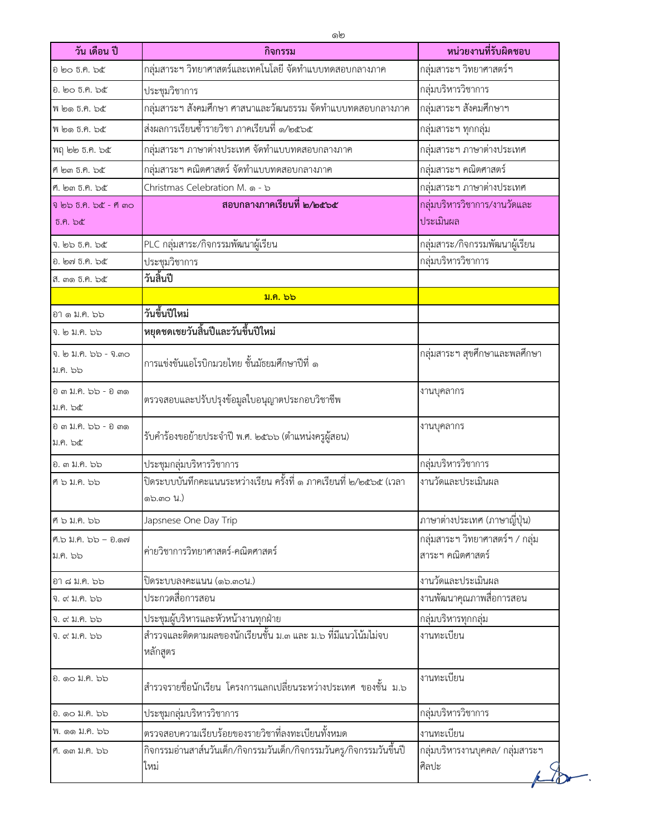| วัน เดือน ปี                       | กิจกรรม                                                                         | หน่วยงานที่รับผิดชอบ                                |
|------------------------------------|---------------------------------------------------------------------------------|-----------------------------------------------------|
| อ ๒๐ ธ.ค. ๖๕                       | กลุ่มสาระฯ วิทยาศาสตร์และเทคโนโลยี จัดทำแบบทดสอบกลางภาค                         | กลุ่มสาระฯ วิทยาศาสตร์ฯ                             |
| อ. ๒๐ ธ.ค. ๖๕                      | ประชุมวิชาการ                                                                   | กลุ่มบริหารวิชาการ                                  |
| พี ๒๑ ธ.ค. ๖๕                      | กลุ่มสาระฯ สังคมศึกษา ศาสนาและวัฒนธรรม จัดทำแบบทดสอบกลางภาค                     | กลุ่มสาระฯ สังคมศึกษาฯ                              |
| พี ๒๑ ธ.ค. ๖๕                      | ส่งผลการเรียนซ้ำรายวิชา ภาคเรียนที่ ๑/๒๕๖๕                                      | กลุ่มสาระฯ ทุกกลุ่ม                                 |
| พฤ ๒๒ ธ.ค. ๖๕                      | กลุ่มสาระฯ ภาษาต่างประเทศ จัดทำแบบทดสอบกลางภาค                                  | กลุ่มสาระฯ ภาษาต่างประเทศ                           |
| ศี ๒๓ ธิ.ค. ๖๕                     | กลุ่มสาระฯ คณิตศาสตร์ จัดทำแบบทดสอบกลางภาค                                      | กลุ่มสาระฯ คณิตศาสตร์                               |
| ศ. ๒๓ ธ.ค. ๖๕                      | Christmas Celebration M. ๑ - ๖                                                  | กลุ่มสาระฯ ภาษาต่างประเทศ                           |
| จี ๒๖ ธิ.คิ. ๖๕ - ศี ๓๐<br>ช.ค. ๖๕ | สอบกลางภาคเรียนที่ ๒/๒๕๖๕                                                       | กลุ่มบริหารวิชาการ/งานวัดและ<br>ประเมินผล           |
| จ. ๒๖ ธ.ค. ๖๕                      | PLC กลุ่มสาระ/กิจกรรมพัฒนาผู้เรียน                                              | กลุ่มสาระ/กิจกรรมพัฒนาผู้เรียน                      |
| อ. ๒๗ ธ.ค. ๖๕                      | ประชุมวิชาการ                                                                   | กลุ่มบริหารวิชาการ                                  |
| ส. ๓๑ ธิ.ค. ๖๕                     | วันสิ้นปี                                                                       |                                                     |
|                                    | ม.ค. ๖๖                                                                         |                                                     |
| อา ๑ ม.ค. ๖๖                       | วันขึ้นปีใหม่                                                                   |                                                     |
| จ. ๒ ม.ค. ๖๖                       | หยุดชดเชยวันสิ้นปีและวันขึ้นปีใหม่                                              |                                                     |
| ຈ. ๒ ม.ค. ๖๖ - ຈ.๓๐<br>ม.ค. ๖๖     | การแข่งขันแอโรบิกมวยไทย ชั้นมัธยมศึกษาปีที่ ๑                                   | กลุ่มสาระฯ สุขศึกษาและพลศึกษา                       |
| อ ๓ ม.ค. ๖๖ - อ ๓๑<br>ม.ค. ๖๕      | ตรวจสอบและปรับปรุงข้อมูลใบอนุญาตประกอบวิชาชีพ                                   | งานบุคลากร                                          |
| อ ๓ ม.ค. ๖๖ - อ ๓๑<br>ม.ค. ๖๕      | รับคำร้องขอย้ายประจำปี พ.ศ. ๒๕๖๖ (ตำแหน่งครูผู้สอน)                             | งานบุคลากร                                          |
| อ. ๓ ม.ค. ๖๖                       | ประชุมกลุ่มบริหารวิชาการ                                                        | กลุ่มบริหารวิชาการ                                  |
| ศ ๖ ม.ค. ๖๖                        | ปิดระบบบันทึกคะแนนระหว่างเรียน ครั้งที่ ๑ ภาคเรียนที่ ๒/๒๕๖๕ (เวลา<br>໑๖.ຓ໐ น.) | งานวัดและประเมินผล                                  |
| ศ ๖ ม.ค. ๖๖                        | Japsnese One Day Trip                                                           | ภาษาต่างประเทศ (ภาษาญี่ปุ่น)                        |
| ศ.๖ ม.ค. ๖๖ - อ.๑๗<br>ม.ค. ๖๖      | ค่ายวิชาการวิทยาศาสตร์-คณิตศาสตร์                                               | กลุ่มสาระฯ วิทยาศาสตร์ฯ / กลุ่ม<br>สาระฯ คณิตศาสตร์ |
| อา ๘ ม.ค. ๖๖                       | ปิดระบบลงคะแนน (๑๖.๓๐น.)                                                        | งานวัดและประเมินผล                                  |
| จ. ๙ ม.ค. ๖๖                       | ประกวดสื่อการสอน                                                                | งานพัฒนาคุณภาพสื่อการสอน                            |
| จ. ๙ ม.ค. ๖๖                       | ประชุมผู้บริหารและหัวหน้างานทุกฝ่าย                                             | กลุ่มบริหารทุกกลุ่ม                                 |
| จ. ๙ ม.ค. ๖๖                       | สำรวจและติดตามผลของนักเรียนชั้น ม.๓ และ ม.๖ ที่มีแนวโน้มไม่จบ<br>หลักสูตร       | งานทะเบียน                                          |
| ย. ด๐ ม.ค. ๖๖                      | สำรวจรายชื่อนักเรียน โครงการแลกเปลี่ยนระหว่างประเทศ ของชั้น ม.๖                 | งานทะเบียน                                          |
| ย. ดo ม.ค. ๖๖                      | ประชุมกลุ่มบริหารวิชาการ                                                        | กลุ่มบริหารวิชาการ                                  |
| พ. ๑๑ ม.ค. ๖๖                      | ตรวจสอบความเรียบร้อยของรายวิชาที่ลงทะเบียนทั้งหมด                               | งานทะเบียน                                          |
| ศ. ด๓ ม.ค. ๖๖                      | กิจกรรมอ่านสาส์นวันเด็ก/กิจกรรมวันเด็ก/กิจกรรมวันครู/กิจกรรมวันขึ้นปี<br>ไหม่   | กลุ่มบริหารงานบุคคล/ กลุ่มสาระฯ<br>ศิลปะ            |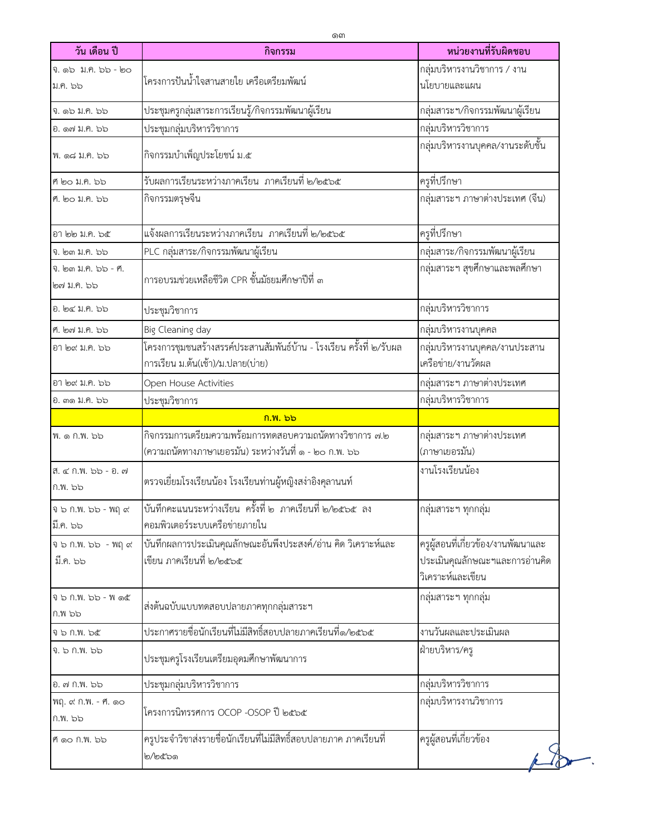| วัน เดือน ปี                      | กิจกรรม                                                                                                          | หน่วยงานที่รับผิดชอบ                                                                      |
|-----------------------------------|------------------------------------------------------------------------------------------------------------------|-------------------------------------------------------------------------------------------|
| จ. ๑๖ ม.ค. ๖๖ - ๒๐                |                                                                                                                  | กลุ่มบริหารงานวิชาการ / งาน                                                               |
| ม.ค. ๖๖                           | โครงการปันน้ำใจสานสายใย เครือเตรียมพัฒน์                                                                         | นโยบายและแผน                                                                              |
| າ. ໑๖ ม.ค. ๖๖                     | ประชุมครูกลุ่มสาระการเรียนรู้/กิจกรรมพัฒนาผู้เรียน                                                               | กลุ่มสาระฯ/กิจกรรมพัฒนาผู้เรียน                                                           |
| อ. ด๗ ม.ค. ๖๖                     | ประชุมกลุ่มบริหารวิชาการ                                                                                         | กลุ่มบริหารวิชาการ                                                                        |
| ฟ. ด๘ ม.ค. ๖๖                     | กิจกรรมบำเพ็ญประโยชน์ ม.๕                                                                                        | กลุ่มบริหารงานบุคคล/งานระดับชั้น                                                          |
| ศ ๒๐ ม.ค. ๖๖                      | รับผลการเรียนระหว่างภาคเรียน  ภาคเรียนที่ ๒/๒๕๖๕                                                                 | ครูที่ปรึกษา                                                                              |
| ศ. ๒๐ ม.ค. ๖๖                     | กิจกรรมตรุษจีน                                                                                                   | กลุ่มสาระฯ ภาษาต่างประเทศ (จีน)                                                           |
| อา ๒๒ ม.ค. ๖๕                     | แจ้งผลการเรียนระหว่างภาคเรียน  ภาคเรียนที่ ๒/๒๕๖๕                                                                | ครูที่ปรึกษา                                                                              |
| າ. ๒๓ ม.ค. ๖๖                     | PLC กลุ่มสาระ/กิจกรรมพัฒนาผู้เรียน                                                                               | กลุ่มสาระ/กิจกรรมพัฒนาผู้เรียน                                                            |
| จิ. ๒๓ ม.ค. ๖๖ - ศ.<br>๒๗ ม.ค. ๖๖ | การอบรมช่วยเหลือชีวิต CPR ชั้นมัธยมศึกษาปีที่ ๓                                                                  | กลุ่มสาระฯ สุขศึกษาและพลศึกษา                                                             |
| อ. ๒๔ ม.ค. ๖๖                     | ประชุมวิชาการ                                                                                                    | กลุ่มบริหารวิชาการ                                                                        |
| ศ. ๒๗ ม.ค. ๖๖                     | Big Cleaning day                                                                                                 | กลุ่มบริหารงานบุคคล                                                                       |
| อา ๒๙ ม.ค. ๖๖                     | โครงการชุมชนสร้างสรรค์ประสานสัมพันธ์บ้าน - โรงเรียน ครั้งที่ ๒∕รับผล<br>การเรียน ม.ต้น(เช้า)/ม.ปลาย(บ่าย)        | กลุ่มบริหารงานบุคคล/งานประสาน<br>เครือข่าย/งานวัดผล                                       |
| อา ๒๙ ม.ค. ๖๖                     | Open House Activities                                                                                            | กลุ่มสาระฯ ภาษาต่างประเทศ                                                                 |
| ี อ. ๓๑ ม.ค. ๖๖                   | ประชุมวิชาการ                                                                                                    | กลุ่มบริหารวิชาการ                                                                        |
|                                   | ึก.พ. ๖๖                                                                                                         |                                                                                           |
| ฟ. ๑ ก.พ. ๖๖                      | กิจกรรมการเตรียมความพร้อมการทดสอบความถนัดทางวิชาการ ๗.๒<br>(ความถนัดทางภาษาเยอรมัน) ระหว่างวันที่ ๑ - ๒๐ ก.พ. ๖๖ | กลุ่มสาระฯ ภาษาต่างประเทศ<br>(ภาษาเยอรมัน)                                                |
| ส. ๔ ก.พ. ๖๖ - อ. ๗<br>ก.พ. ๖๖    | ตรวจเยี่ยมโรงเรียนน้อง โรงเรียนท่านผู้หญิงสง่าอิงคุลานนท์                                                        | งานโรงเรียนน้อง                                                                           |
| จิ ๖ ก.พ. ๖๖ - พฤ ๙<br>มี.ค. ๖๖   | ึ บันทึกคะแนนระหว่างเรียน  ครั้งที่ ๒  ภาคเรียนที่ ๒∕๒๕๖๕  ลง<br>คอมพิวเตอร์ระบบเครือข่ายภายใน                   | ึกลุ่มสาระฯ ทุกกลุ่ม                                                                      |
| จ ๖ ก.พ. ๖๖ - พฤ ๙<br>มี.ค. ๖๖    | บันทึกผลการประเมินคุณลักษณะอันพึงประสงค์/อ่าน คิด วิเคราะห์และ<br>เขียน ภาคเรียนที่ ๒/๒๕๖๕                       | ครูผู้สอนที่เกี่ยวข้อง/งานพัฒนาและ<br>ประเมินคุณลักษณะฯและการอ่านคิด<br>วิเคราะห์และเขียน |
| จ ๖ ก.พ. ๖๖ - พ ๑๕<br>ก.พ ๖๖      | ส่งต้นฉบับแบบทดสอบปลายภาคทุกกลุ่มสาระฯ                                                                           | กลุ่มสาระฯ ทุกกลุ่ม                                                                       |
| จ ๖ ก.พ. ๖๕                       | _<br>ประกาศรายชื่อนักเรียนที่ไม่มีสิทธิ์สอบปลายภาคเรียนที่๑/๒๕๖๕                                                 | งานวันผลและประเมินผล                                                                      |
| จ. ๖ ก.พ. ๖๖                      | ประชุมครูโรงเรียนเตรียมอุดมศึกษาพัฒนาการ                                                                         | ฝ่ายบริหาร/ครู                                                                            |
| อ. ๗ ก.พ. ๖๖                      | ประชุมกลุ่มบริหารวิชาการ                                                                                         | กลุ่มบริหารวิชาการ                                                                        |
| พฤ. ๙ ก.พ. - ศ. ๑๐<br>ก.พ. ๖๖     | โครงการนิทรรศการ OCOP -OSOP ปี ๒๕๖๕                                                                              | กลุ่มบริหารงานวิชาการ                                                                     |
| ศ์ ๑๐ ก.พ. ๖๖                     | ครูประจำวิชาส่งรายชื่อนักเรียนที่ไม่มีสิทธิ์สอบปลายภาค ภาคเรียนที่<br>๒/๒๕๖๑                                     | ครูผู้สอนที่เกี่ยวข้อง                                                                    |

٦,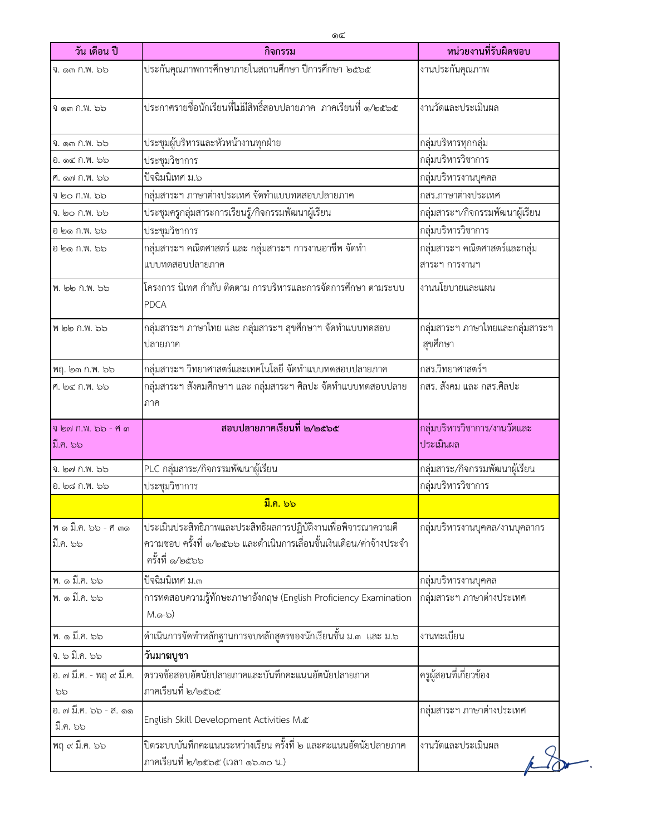| วัน เดือน ปี                      | กิจกรรม                                                                                                                                                   | หน่วยงานที่รับผิดชอบ                           |
|-----------------------------------|-----------------------------------------------------------------------------------------------------------------------------------------------------------|------------------------------------------------|
| จิ. ดูต กิ.พ. ๖๖                  | ประกันคุณภาพการศึกษาภายในสถานศึกษา ปีการศึกษา ๒๕๖๕                                                                                                        | งานประกันคุณภาพ                                |
| จิ ๑๓ ก.พ. ๖๖                     | ประกาศรายชื่อนักเรียนที่ไม่มีสิทธิ์สอบปลายภาค ภาคเรียนที่ ๑/๒๕๖๕                                                                                          | งานวัดและประเมินผล                             |
| จิ. ดูต กิ.พ. ๖๖                  | ประชุมผู้บริหารและหัวหน้างานทุกฝ่าย                                                                                                                       | กลุ่มบริหารทุกกลุ่ม                            |
| อ. ด๔ ก.พ. ๖๖                     | ประชุมวิชาการ                                                                                                                                             | กลุ่มบริหารวิชาการ                             |
| ศ. ด๗ ก.พ. ๖๖                     | ปัจฉิมนิเทศ ม.๖                                                                                                                                           | กลุ่มบริหารงานบุคคล                            |
| จ ๒๐ ก.พ. ๖๖                      | กลุ่มสาระฯ ภาษาต่างประเทศ จัดทำแบบทดสอบปลายภาค                                                                                                            | กสร.ภาษาต่างประเทศ                             |
| จ. ๒๐ ก.พ. ๖๖                     | ประชุมครูกลุ่มสาระการเรียนรู้/กิจกรรมพัฒนาผู้เรียน                                                                                                        | กลุ่มสาระฯ/กิจกรรมพัฒนาผู้เรียน                |
| อ ๒๑ ก.พ. ๖๖                      | ประชุมวิชาการ                                                                                                                                             | กลุ่มบริหารวิชาการ                             |
| อ ๒๑ ก.พ. ๖๖                      | กลุ่มสาระฯ คณิตศาสตร์ และ กลุ่มสาระฯ การงานอาชีพ จัดทำ<br>แบบทดสอบปลายภาค                                                                                 | กลุ่มสาระฯ คณิตศาสตร์และกลุ่ม<br>สาระฯ การงานฯ |
| พ. ๒๒ ก.พ. ๖๖                     | โครงการ นิเทศ กำกับ ติดตาม การบริหารและการจัดการศึกษา ตามระบบ<br><b>PDCA</b>                                                                              | งานนโยบายและแผน                                |
| พี ๒๒ ก.พ. ๖๖                     | กลุ่มสาระฯ ภาษาไทย และ กลุ่มสาระฯ สุขศึกษาฯ จัดทำแบบทดสอบ<br>ปลายภาค                                                                                      | กลุ่มสาระฯ ภาษาไทยและกลุ่มสาระฯ<br>สุขศึกษา    |
| พฤ. ๒๓ ก.พ. ๖๖                    | กลุ่มสาระฯ วิทยาศาสตร์และเทคโนโลยี จัดทำแบบทดสอบปลายภาค                                                                                                   | กสร.วิทยาศาสตร์ฯ                               |
| ศ. ๒๔ ก.พ. ๖๖                     | กลุ่มสาระฯ สังคมศึกษาฯ และ กลุ่มสาระฯ ศิลปะ จัดทำแบบทดสอบปลาย<br>ภาค                                                                                      | กสร. สังคม และ กสร.ศิลปะ                       |
| จิ ๒๗ ก.พ. ๖๖ - ศ ๓<br>มี.ค. ๖๖   | สอบปลายภาคเรียนที่ ๒/๒๕๖๕                                                                                                                                 | กลุ่มบริหารวิชาการ/งานวัดและ<br>ประเมินผล      |
| จ. ๒๗ ก.พ. ๖๖                     | PLC กลุ่มสาระ/กิจกรรมพัฒนาผู้เรียน                                                                                                                        | กลุ่มสาระ/กิจกรรมพัฒนาผู้เรียน                 |
| อ. ๒๘ ก.พ. ๖๖                     | ประชุมวิชาการ                                                                                                                                             | กลุ่มบริหารวิชาการ                             |
|                                   | มี.ค. ๖๖                                                                                                                                                  |                                                |
| พดมี.ค. ๖๖ - ศ ๓๑<br>มี.ค. ๖๖     | ประเมินประสิทธิภาพและประสิทธิผลการปฏิบัติงานเพื่อพิจารณาความดี<br>ความชอบ ครั้งที่ ๑/๒๕๖๖ และดำเนินการเลื่อนขั้นเงินเดือน/ค่าจ้างประจำ<br>ครั้งที่ ๑/๒๕๖๖ | กลุ่มบริหารงานบุคคล/งานบุคลากร                 |
| พ. ๑ มี.ค. ๖๖                     | ปัจฉิมนิเทศ ม.๓                                                                                                                                           | กลุ่มบริหารงานบุคคล                            |
| พ. ๑ มี.ค. ๖๖                     | การทดสอบความรู้ทักษะภาษาอังกฤษ (English Proficiency Examination<br>$M.\odot\neg$ b)                                                                       | กลุ่มสาระฯ ภาษาต่างประเทศ                      |
| พ. ๑ มี.ค. ๖๖                     | ดำเนินการจัดทำหลักฐานการจบหลักสูตรของนักเรียนชั้น ม.๓  และ ม.๖                                                                                            | งานทะเบียน                                     |
| จ. ๖ มี.ค. ๖๖                     | วันมาฆบูชา                                                                                                                                                |                                                |
| อ. ๗ มี.ค. - พฤ ๙ มี.ค.<br>৯৯     | ตรวจข้อสอบอัตนัยปลายภาคและบันทึกคะแนนอัตนัยปลายภาค<br>ภาคเรียนที่ ๒/๒๕๖๕                                                                                  | ครูผู้สอนที่เกี่ยวข้อง                         |
| อ. ๗ มี.ค. ๖๖ - ส. ๑๑<br>มี.ค. ๖๖ | English Skill Development Activities M.&                                                                                                                  | กลุ่มสาระฯ ภาษาต่างประเทศ                      |
| พฤ ๙ มี.ค. ๖๖                     | ปิดระบบบันทึกคะแนนระหว่างเรียน ครั้งที่ ๒ และคะแนนอัตนัยปลายภาค<br>ภาคเรียนที่ ๒/๒๕๖๕ (เวลา ๑๖.๓๐ น.)                                                     | งานวัดและประเมินผล                             |

۳,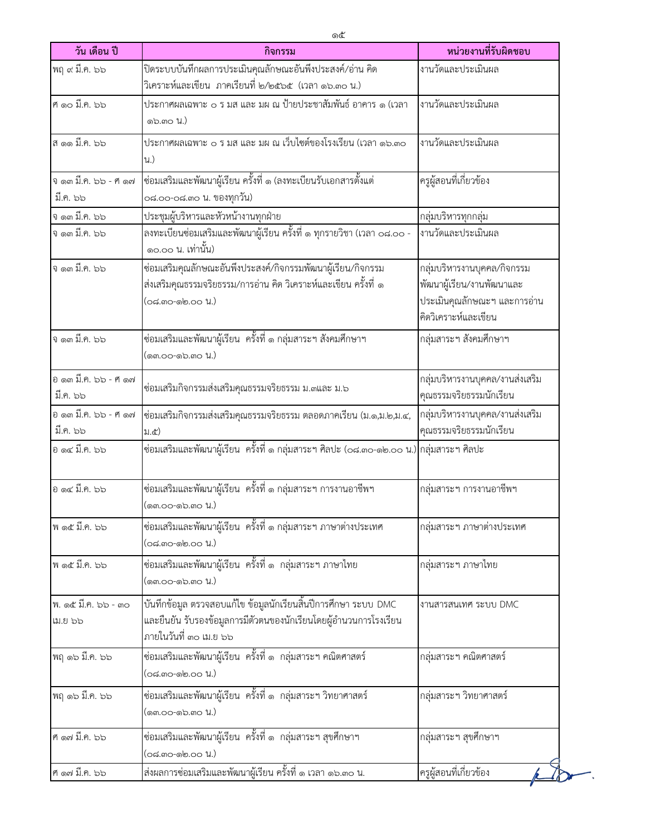| วัน เดือน ปี                     | กิจกรรม                                                                                                                                                        | หน่วยงานที่รับผิดชอบ                                                                                             |
|----------------------------------|----------------------------------------------------------------------------------------------------------------------------------------------------------------|------------------------------------------------------------------------------------------------------------------|
| พฤ ๙ มี.ค. ๖๖                    | ปิดระบบบันทึกผลการประเมินคุณลักษณะอันพึงประสงค์/อ่าน คิด<br>วิเคราะห์และเขียน  ภาคเรียนที่ ๒/๒๕๖๕  (เวลา ๑๖.๓๐ น.)                                             | งานวัดและประเมินผล                                                                                               |
| ศ์ ดอ มี.ค. ๖๖                   | ประกาศผลเฉพาะ ๐ ร มส และ มผ ณ ป้ายประชาสัมพันธ์ อาคาร ๑ (เวลา<br>໑๖.ຓ໐ น.)                                                                                     | งานวัดและประเมินผล                                                                                               |
| ส ๑๑ มี.ค. ๖๖                    | ประกาศผลเฉพาะ ๐ ร มส และ มผ ณ เว็บไซต์ของโรงเรียน (เวลา ๑๖.๓๐<br>น.)                                                                                           | งานวัดและประเมินผล                                                                                               |
| ง ๑๓ มี.ค. ๖๖ - ศ ๑๗<br>มี.ค. ๖๖ | ซ่อมเสริมและพัฒนาผู้เรียน ครั้งที่ ๑ (ลงทะเบียนรับเอกสารตั้งแต่<br>๐๘.๐๐-๐๘.๓๐ น. ของทุกวัน)                                                                   | ครูผู้สอนที่เกี่ยวข้อง                                                                                           |
| จ ด๓ มี.ค. ๖๖<br>จ ๑๓ มี.ค. ๖๖   | ประชุมผู้บริหารและหัวหน้างานทุกฝ่าย<br>ลงทะเบียนซ่อมเสริมและพัฒนาผู้เรียน ครั้งที่ ๑ ทุกรายวิชา (เวลา ๐๘.๐๐ -<br>๑๐.๐๐ น. เท่านั้น)                            | กลุ่มบริหารทุกกลุ่ม<br>งานวัดและประเมินผล                                                                        |
| จ ๑๓ มี.ค. ๖๖                    | ซ่อมเสริมคุณลักษณะอันพึงประสงค์/กิจกรรมพัฒนาผู้เรียน/กิจกรรม<br>ส่งเสริมคุณธรรมจริยธรรม/การอ่าน คิด วิเคราะห์และเขียน ครั้งที่ ๑<br>(๐๘.๓๐-๑๒.๐๐ น.)           | กลุ่มบริหารงานบุคคล/กิจกรรม<br>พัฒนาผู้เรียน/งานพัฒนาและ<br>ประเมินคุณลักษณะฯ และการอ่าน<br>คิดวิเคราะห์และเขียน |
| จ ๑๓ มี.ค. ๖๖                    | ซ่อมเสริมและพัฒนาผู้เรียน  ครั้งที่ ๑ กลุ่มสาระฯ สังคมศึกษาฯ<br>(໑ຓ.໐໐-໑๖.ຓ໐ น.)                                                                               | กลุ่มสาระฯ สังคมศึกษาฯ                                                                                           |
| อ ๑๓ มี.ค. ๖๖ - ศ ๑๗<br>มี.ค. ๖๖ | ซ่อมเสริมกิจกรรมส่งเสริมคุณธรรมจริยธรรม ม.๓และ ม.๖                                                                                                             | กลุ่มบริหารงานบุคคล/งานส่งเสริม<br>คุณธรรมจริยธรรมนักเรียน                                                       |
| อ ๑๓ มี.ค. ๖๖ - ศ ๑๗<br>มี.ค. ๖๖ | ซ่อมเสริมกิจกรรมส่งเสริมคุณธรรมจริยธรรม ตลอดภาคเรียน (ม.๑,ม.๒,ม.๔,<br>21.6)                                                                                    | กลุ่มบริหารงานบุคคล/งานส่งเสริม<br>คุณธรรมจริยธรรมนักเรียน                                                       |
| อ ด๔ มี.ค. ๖๖                    | ซ่อมเสริมและพัฒนาผู้เรียน  ครั้งที่ ๑ กลุ่มสาระฯ ศิลปะ (๐๘.๓๐-๑๒.๐๐ น.) กลุ่มสาระฯ ศิลปะ                                                                       |                                                                                                                  |
| อ ด๔ มี.ค. ๖๖                    | ซ่อมเสริมและพัฒนาผู้เรียน  ครั้งที่ ๑ กลุ่มสาระฯ การงานอาชีพฯ<br>(໑ຓ.໐໐-໑๖.ຓ໐ น.)                                                                              | กลุ่มสาระฯ การงานอาชีพฯ                                                                                          |
| พ ด๕ มี.ค. ๖๖                    | ซ่อมเสริมและพัฒนาผู้เรียน  ครั้งที่ ๑ กลุ่มสาระฯ ภาษาต่างประเทศ<br>(๐๘.๓๐-๑๒.๐๐ น.)                                                                            | กลุ่มสาระฯ ภาษาต่างประเทศ                                                                                        |
| พ ด๕ มี.ค. ๖๖                    | ซ่อมเสริมและพัฒนาผู้เรียน ครั้งที่ ๑ กลุ่มสาระฯ ภาษาไทย<br>(ด๓.๐๐-๑๖.๓๐ น.)                                                                                    | กลุ่มสาระฯ ภาษาไทย                                                                                               |
| พ. ด๕ มี.ค. ๖๖ - ๓๐<br>ເມ.ຍ ๖๖   | บันทึกข้อมูล ตรวจสอบแก้ไข ข้อมูลนักเรียนสิ้นปีการศึกษา ระบบ DMC<br>และยืนยัน รับรองข้อมูลการมีตัวตนของนักเรียนโดยผู้อำนวนการโรงเรียน<br>ภายในวันที่ ๓๐ เม.ย ๖๖ | งานสารสนเทศ ระบบ DMC                                                                                             |
| พฤ ด๖ มี.ค. ๖๖                   | ซ่อมเสริมและพัฒนาผู้เรียน ครั้งที่ ๑ กลุ่มสาระฯ คณิตศาสตร์<br>(๐๘.๓๐-๑๒.๐๐ น.)                                                                                 | กลุ่มสาระฯ คณิตศาสตร์                                                                                            |
| พฤ ด๖ มี.ค. ๖๖                   | ซ่อมเสริมและพัฒนาผู้เรียน ครั้งที่ ๑ กลุ่มสาระฯ วิทยาศาสตร์<br>(ด๓.๐๐-๑๖.๓๐ น.)                                                                                | กลุ่มสาระฯ วิทยาศาสตร์                                                                                           |
| ศ ด๗ มี.ค. ๖๖                    | ซ่อมเสริมและพัฒนาผู้เรียน ครั้งที่ ๑ กลุ่มสาระฯ สุขศึกษาฯ<br>(๐๘.๓๐-๑๒.๐๐ น.)                                                                                  | กลุ่มสาระฯ สุขศึกษาฯ                                                                                             |
| ศ ด๗ มี.ค. ๖๖                    | ส่งผลการซ่อมเสริมและพัฒนาผู้เรียน ครั้งที่ ๑ เวลา ๑๖.๓๐ น.                                                                                                     | ครูผู้สอนที่เกี่ยวข้อง                                                                                           |